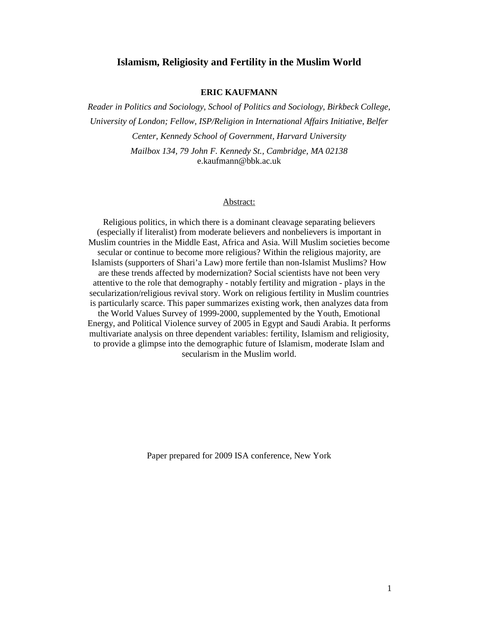# **Islamism, Religiosity and Fertility in the Muslim World**

### **ERIC KAUFMANN**

*Reader in Politics and Sociology, School of Politics and Sociology, Birkbeck College, University of London; Fellow, ISP/Religion in International Affairs Initiative, Belfer Center, Kennedy School of Government, Harvard University Mailbox 134, 79 John F. Kennedy St., Cambridge, MA 02138* e.kaufmann@bbk.ac.uk

#### Abstract:

Religious politics, in which there is a dominant cleavage separating believers (especially if literalist) from moderate believers and nonbelievers is important in Muslim countries in the Middle East, Africa and Asia. Will Muslim societies become secular or continue to become more religious? Within the religious majority, are Islamists (supporters of Shari'a Law) more fertile than non-Islamist Muslims? How are these trends affected by modernization? Social scientists have not been very attentive to the role that demography - notably fertility and migration - plays in the secularization/religious revival story. Work on religious fertility in Muslim countries is particularly scarce. This paper summarizes existing work, then analyzes data from the World Values Survey of 1999-2000, supplemented by the Youth, Emotional Energy, and Political Violence survey of 2005 in Egypt and Saudi Arabia. It performs multivariate analysis on three dependent variables: fertility, Islamism and religiosity, to provide a glimpse into the demographic future of Islamism, moderate Islam and secularism in the Muslim world.

Paper prepared for 2009 ISA conference, New York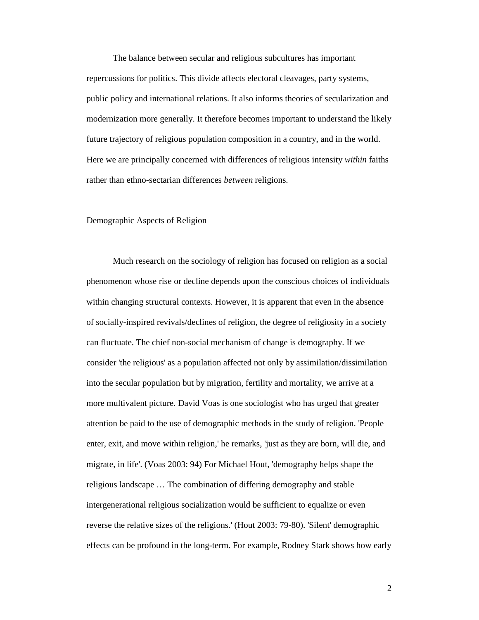The balance between secular and religious subcultures has important repercussions for politics. This divide affects electoral cleavages, party systems, public policy and international relations. It also informs theories of secularization and modernization more generally. It therefore becomes important to understand the likely future trajectory of religious population composition in a country, and in the world. Here we are principally concerned with differences of religious intensity *within* faiths rather than ethno-sectarian differences *between* religions.

### Demographic Aspects of Religion

 Much research on the sociology of religion has focused on religion as a social phenomenon whose rise or decline depends upon the conscious choices of individuals within changing structural contexts. However, it is apparent that even in the absence of socially-inspired revivals/declines of religion, the degree of religiosity in a society can fluctuate. The chief non-social mechanism of change is demography. If we consider 'the religious' as a population affected not only by assimilation/dissimilation into the secular population but by migration, fertility and mortality, we arrive at a more multivalent picture. David Voas is one sociologist who has urged that greater attention be paid to the use of demographic methods in the study of religion. 'People enter, exit, and move within religion,' he remarks, 'just as they are born, will die, and migrate, in life'. (Voas 2003: 94) For Michael Hout, 'demography helps shape the religious landscape … The combination of differing demography and stable intergenerational religious socialization would be sufficient to equalize or even reverse the relative sizes of the religions.' (Hout 2003: 79-80). 'Silent' demographic effects can be profound in the long-term. For example, Rodney Stark shows how early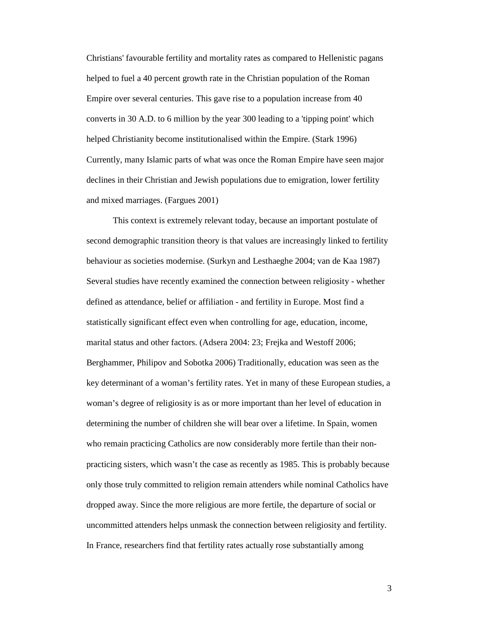Christians' favourable fertility and mortality rates as compared to Hellenistic pagans helped to fuel a 40 percent growth rate in the Christian population of the Roman Empire over several centuries. This gave rise to a population increase from 40 converts in 30 A.D. to 6 million by the year 300 leading to a 'tipping point' which helped Christianity become institutionalised within the Empire. (Stark 1996) Currently, many Islamic parts of what was once the Roman Empire have seen major declines in their Christian and Jewish populations due to emigration, lower fertility and mixed marriages. (Fargues 2001)

 This context is extremely relevant today, because an important postulate of second demographic transition theory is that values are increasingly linked to fertility behaviour as societies modernise. (Surkyn and Lesthaeghe 2004; van de Kaa 1987) Several studies have recently examined the connection between religiosity - whether defined as attendance, belief or affiliation - and fertility in Europe. Most find a statistically significant effect even when controlling for age, education, income, marital status and other factors. (Adsera 2004: 23; Frejka and Westoff 2006; Berghammer, Philipov and Sobotka 2006) Traditionally, education was seen as the key determinant of a woman's fertility rates. Yet in many of these European studies, a woman's degree of religiosity is as or more important than her level of education in determining the number of children she will bear over a lifetime. In Spain, women who remain practicing Catholics are now considerably more fertile than their nonpracticing sisters, which wasn't the case as recently as 1985. This is probably because only those truly committed to religion remain attenders while nominal Catholics have dropped away. Since the more religious are more fertile, the departure of social or uncommitted attenders helps unmask the connection between religiosity and fertility. In France, researchers find that fertility rates actually rose substantially among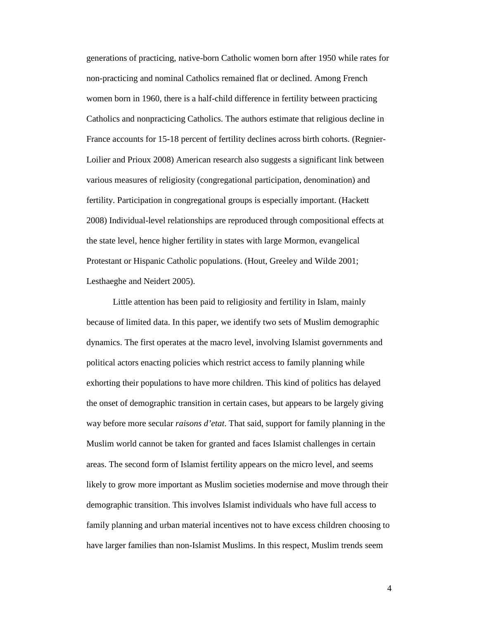generations of practicing, native-born Catholic women born after 1950 while rates for non-practicing and nominal Catholics remained flat or declined. Among French women born in 1960, there is a half-child difference in fertility between practicing Catholics and nonpracticing Catholics. The authors estimate that religious decline in France accounts for 15-18 percent of fertility declines across birth cohorts. (Regnier-Loilier and Prioux 2008) American research also suggests a significant link between various measures of religiosity (congregational participation, denomination) and fertility. Participation in congregational groups is especially important. (Hackett 2008) Individual-level relationships are reproduced through compositional effects at the state level, hence higher fertility in states with large Mormon, evangelical Protestant or Hispanic Catholic populations. (Hout, Greeley and Wilde 2001; Lesthaeghe and Neidert 2005).

Little attention has been paid to religiosity and fertility in Islam, mainly because of limited data. In this paper, we identify two sets of Muslim demographic dynamics. The first operates at the macro level, involving Islamist governments and political actors enacting policies which restrict access to family planning while exhorting their populations to have more children. This kind of politics has delayed the onset of demographic transition in certain cases, but appears to be largely giving way before more secular *raisons d'etat*. That said, support for family planning in the Muslim world cannot be taken for granted and faces Islamist challenges in certain areas. The second form of Islamist fertility appears on the micro level, and seems likely to grow more important as Muslim societies modernise and move through their demographic transition. This involves Islamist individuals who have full access to family planning and urban material incentives not to have excess children choosing to have larger families than non-Islamist Muslims. In this respect, Muslim trends seem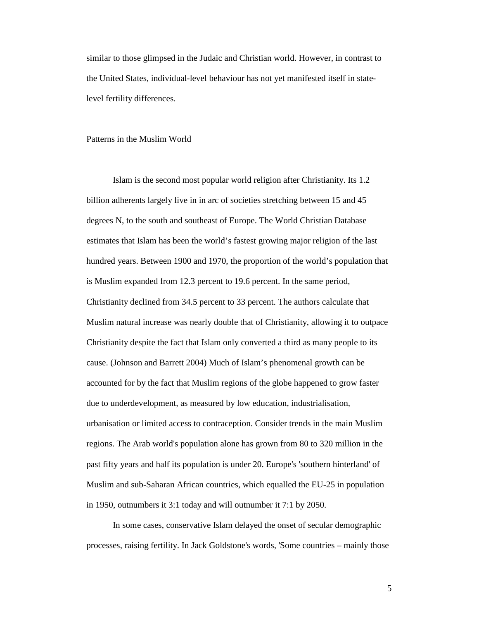similar to those glimpsed in the Judaic and Christian world. However, in contrast to the United States, individual-level behaviour has not yet manifested itself in statelevel fertility differences.

#### Patterns in the Muslim World

 Islam is the second most popular world religion after Christianity. Its 1.2 billion adherents largely live in in arc of societies stretching between 15 and 45 degrees N, to the south and southeast of Europe. The World Christian Database estimates that Islam has been the world's fastest growing major religion of the last hundred years. Between 1900 and 1970, the proportion of the world's population that is Muslim expanded from 12.3 percent to 19.6 percent. In the same period, Christianity declined from 34.5 percent to 33 percent. The authors calculate that Muslim natural increase was nearly double that of Christianity, allowing it to outpace Christianity despite the fact that Islam only converted a third as many people to its cause. (Johnson and Barrett 2004) Much of Islam's phenomenal growth can be accounted for by the fact that Muslim regions of the globe happened to grow faster due to underdevelopment, as measured by low education, industrialisation, urbanisation or limited access to contraception. Consider trends in the main Muslim regions. The Arab world's population alone has grown from 80 to 320 million in the past fifty years and half its population is under 20. Europe's 'southern hinterland' of Muslim and sub-Saharan African countries, which equalled the EU-25 in population in 1950, outnumbers it 3:1 today and will outnumber it 7:1 by 2050.

In some cases, conservative Islam delayed the onset of secular demographic processes, raising fertility. In Jack Goldstone's words, 'Some countries – mainly those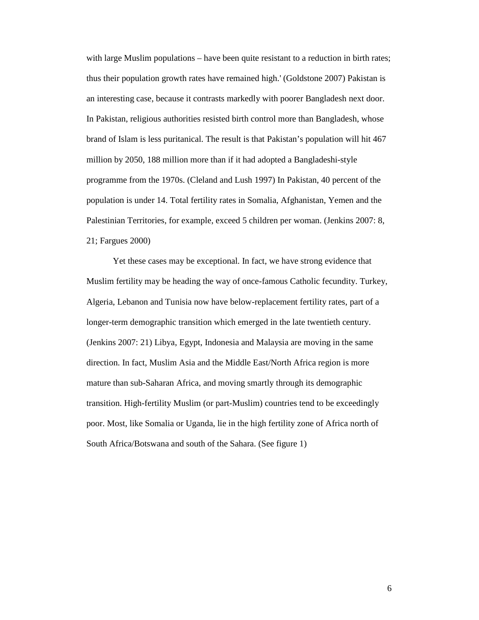with large Muslim populations – have been quite resistant to a reduction in birth rates; thus their population growth rates have remained high.' (Goldstone 2007) Pakistan is an interesting case, because it contrasts markedly with poorer Bangladesh next door. In Pakistan, religious authorities resisted birth control more than Bangladesh, whose brand of Islam is less puritanical. The result is that Pakistan's population will hit 467 million by 2050, 188 million more than if it had adopted a Bangladeshi-style programme from the 1970s. (Cleland and Lush 1997) In Pakistan, 40 percent of the population is under 14. Total fertility rates in Somalia, Afghanistan, Yemen and the Palestinian Territories, for example, exceed 5 children per woman. (Jenkins 2007: 8, 21; Fargues 2000)

 Yet these cases may be exceptional. In fact, we have strong evidence that Muslim fertility may be heading the way of once-famous Catholic fecundity. Turkey, Algeria, Lebanon and Tunisia now have below-replacement fertility rates, part of a longer-term demographic transition which emerged in the late twentieth century. (Jenkins 2007: 21) Libya, Egypt, Indonesia and Malaysia are moving in the same direction. In fact, Muslim Asia and the Middle East/North Africa region is more mature than sub-Saharan Africa, and moving smartly through its demographic transition. High-fertility Muslim (or part-Muslim) countries tend to be exceedingly poor. Most, like Somalia or Uganda, lie in the high fertility zone of Africa north of South Africa/Botswana and south of the Sahara. (See figure 1)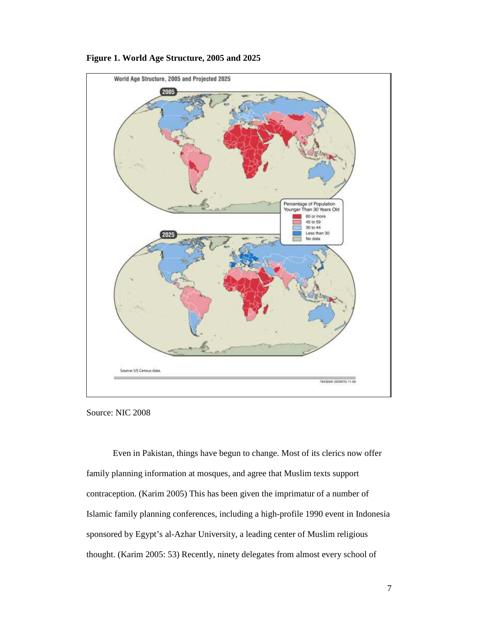

### **Figure 1. World Age Structure, 2005 and 2025**

Source: NIC 2008

Even in Pakistan, things have begun to change. Most of its clerics now offer family planning information at mosques, and agree that Muslim texts support contraception. (Karim 2005) This has been given the imprimatur of a number of Islamic family planning conferences, including a high-profile 1990 event in Indonesia sponsored by Egypt's al-Azhar University, a leading center of Muslim religious thought. (Karim 2005: 53) Recently, ninety delegates from almost every school of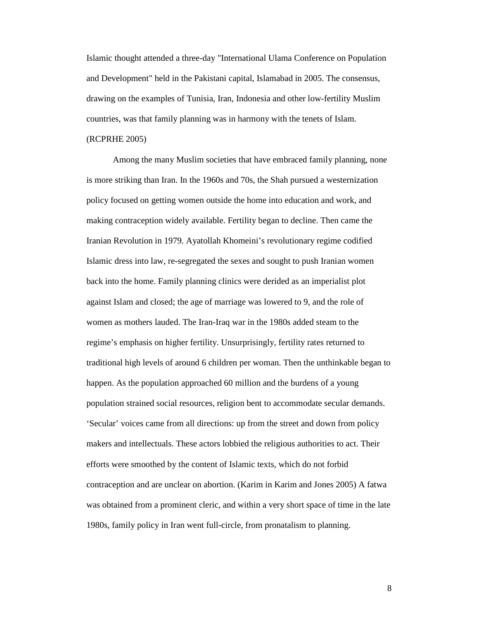Islamic thought attended a three-day "International Ulama Conference on Population and Development" held in the Pakistani capital, Islamabad in 2005. The consensus, drawing on the examples of Tunisia, Iran, Indonesia and other low-fertility Muslim countries, was that family planning was in harmony with the tenets of Islam. (RCPRHE 2005)

Among the many Muslim societies that have embraced family planning, none is more striking than Iran. In the 1960s and 70s, the Shah pursued a westernization policy focused on getting women outside the home into education and work, and making contraception widely available. Fertility began to decline. Then came the Iranian Revolution in 1979. Ayatollah Khomeini's revolutionary regime codified Islamic dress into law, re-segregated the sexes and sought to push Iranian women back into the home. Family planning clinics were derided as an imperialist plot against Islam and closed; the age of marriage was lowered to 9, and the role of women as mothers lauded. The Iran-Iraq war in the 1980s added steam to the regime's emphasis on higher fertility. Unsurprisingly, fertility rates returned to traditional high levels of around 6 children per woman. Then the unthinkable began to happen. As the population approached 60 million and the burdens of a young population strained social resources, religion bent to accommodate secular demands. 'Secular' voices came from all directions: up from the street and down from policy makers and intellectuals. These actors lobbied the religious authorities to act. Their efforts were smoothed by the content of Islamic texts, which do not forbid contraception and are unclear on abortion. (Karim in Karim and Jones 2005) A fatwa was obtained from a prominent cleric, and within a very short space of time in the late 1980s, family policy in Iran went full-circle, from pronatalism to planning.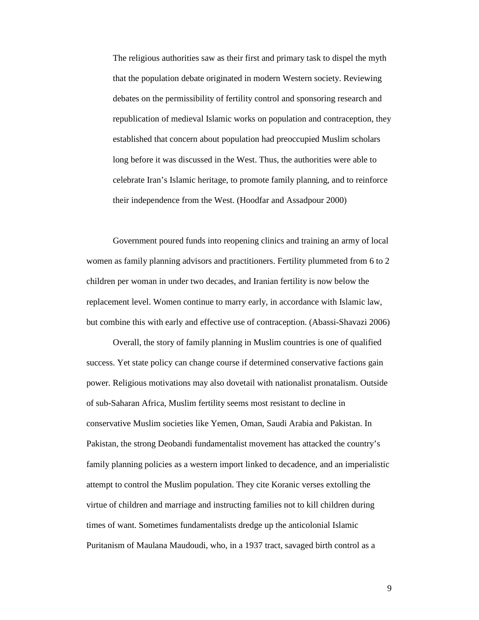The religious authorities saw as their first and primary task to dispel the myth that the population debate originated in modern Western society. Reviewing debates on the permissibility of fertility control and sponsoring research and republication of medieval Islamic works on population and contraception, they established that concern about population had preoccupied Muslim scholars long before it was discussed in the West. Thus, the authorities were able to celebrate Iran's Islamic heritage, to promote family planning, and to reinforce their independence from the West. (Hoodfar and Assadpour 2000)

Government poured funds into reopening clinics and training an army of local women as family planning advisors and practitioners. Fertility plummeted from 6 to 2 children per woman in under two decades, and Iranian fertility is now below the replacement level. Women continue to marry early, in accordance with Islamic law, but combine this with early and effective use of contraception. (Abassi-Shavazi 2006)

Overall, the story of family planning in Muslim countries is one of qualified success. Yet state policy can change course if determined conservative factions gain power. Religious motivations may also dovetail with nationalist pronatalism. Outside of sub-Saharan Africa, Muslim fertility seems most resistant to decline in conservative Muslim societies like Yemen, Oman, Saudi Arabia and Pakistan. In Pakistan, the strong Deobandi fundamentalist movement has attacked the country's family planning policies as a western import linked to decadence, and an imperialistic attempt to control the Muslim population. They cite Koranic verses extolling the virtue of children and marriage and instructing families not to kill children during times of want. Sometimes fundamentalists dredge up the anticolonial Islamic Puritanism of Maulana Maudoudi, who, in a 1937 tract, savaged birth control as a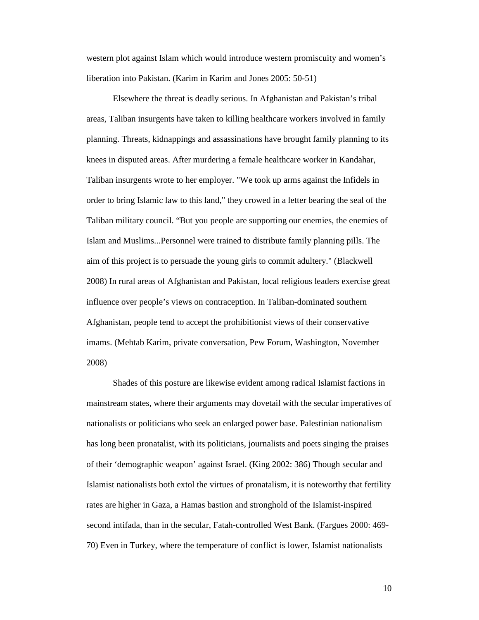western plot against Islam which would introduce western promiscuity and women's liberation into Pakistan. (Karim in Karim and Jones 2005: 50-51)

Elsewhere the threat is deadly serious. In Afghanistan and Pakistan's tribal areas, Taliban insurgents have taken to killing healthcare workers involved in family planning. Threats, kidnappings and assassinations have brought family planning to its knees in disputed areas. After murdering a female healthcare worker in Kandahar, Taliban insurgents wrote to her employer. "We took up arms against the Infidels in order to bring Islamic law to this land," they crowed in a letter bearing the seal of the Taliban military council. "But you people are supporting our enemies, the enemies of Islam and Muslims...Personnel were trained to distribute family planning pills. The aim of this project is to persuade the young girls to commit adultery." (Blackwell 2008) In rural areas of Afghanistan and Pakistan, local religious leaders exercise great influence over people's views on contraception. In Taliban-dominated southern Afghanistan, people tend to accept the prohibitionist views of their conservative imams. (Mehtab Karim, private conversation, Pew Forum, Washington, November 2008)

Shades of this posture are likewise evident among radical Islamist factions in mainstream states, where their arguments may dovetail with the secular imperatives of nationalists or politicians who seek an enlarged power base. Palestinian nationalism has long been pronatalist, with its politicians, journalists and poets singing the praises of their 'demographic weapon' against Israel. (King 2002: 386) Though secular and Islamist nationalists both extol the virtues of pronatalism, it is noteworthy that fertility rates are higher in Gaza, a Hamas bastion and stronghold of the Islamist-inspired second intifada, than in the secular, Fatah-controlled West Bank. (Fargues 2000: 469- 70) Even in Turkey, where the temperature of conflict is lower, Islamist nationalists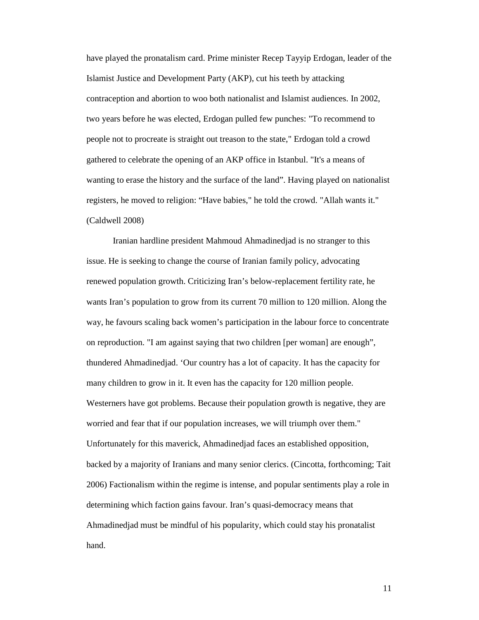have played the pronatalism card. Prime minister Recep Tayyip Erdogan, leader of the Islamist Justice and Development Party (AKP), cut his teeth by attacking contraception and abortion to woo both nationalist and Islamist audiences. In 2002, two years before he was elected, Erdogan pulled few punches: "To recommend to people not to procreate is straight out treason to the state," Erdogan told a crowd gathered to celebrate the opening of an AKP office in Istanbul. "It's a means of wanting to erase the history and the surface of the land". Having played on nationalist registers, he moved to religion: "Have babies," he told the crowd. "Allah wants it." (Caldwell 2008)

Iranian hardline president Mahmoud Ahmadinedjad is no stranger to this issue. He is seeking to change the course of Iranian family policy, advocating renewed population growth. Criticizing Iran's below-replacement fertility rate, he wants Iran's population to grow from its current 70 million to 120 million. Along the way, he favours scaling back women's participation in the labour force to concentrate on reproduction. "I am against saying that two children [per woman] are enough", thundered Ahmadinedjad. 'Our country has a lot of capacity. It has the capacity for many children to grow in it. It even has the capacity for 120 million people. Westerners have got problems. Because their population growth is negative, they are worried and fear that if our population increases, we will triumph over them." Unfortunately for this maverick, Ahmadinedjad faces an established opposition, backed by a majority of Iranians and many senior clerics. (Cincotta, forthcoming; Tait 2006) Factionalism within the regime is intense, and popular sentiments play a role in determining which faction gains favour. Iran's quasi-democracy means that Ahmadinedjad must be mindful of his popularity, which could stay his pronatalist hand.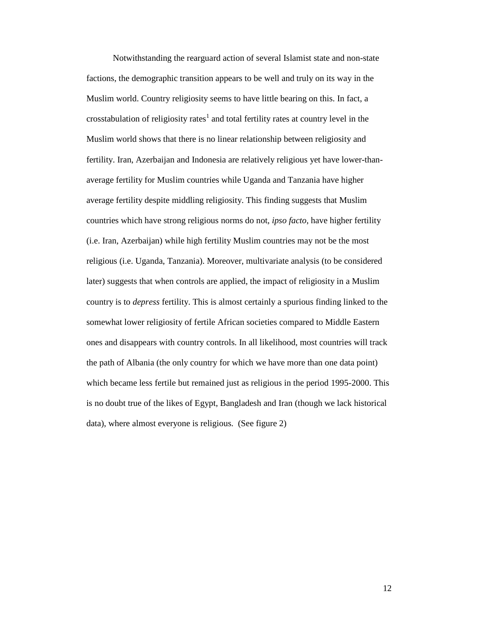Notwithstanding the rearguard action of several Islamist state and non-state factions, the demographic transition appears to be well and truly on its way in the Muslim world. Country religiosity seems to have little bearing on this. In fact, a crosstabulation of religiosity rates<sup>1</sup> and total fertility rates at country level in the Muslim world shows that there is no linear relationship between religiosity and fertility. Iran, Azerbaijan and Indonesia are relatively religious yet have lower-thanaverage fertility for Muslim countries while Uganda and Tanzania have higher average fertility despite middling religiosity. This finding suggests that Muslim countries which have strong religious norms do not, *ipso facto*, have higher fertility (i.e. Iran, Azerbaijan) while high fertility Muslim countries may not be the most religious (i.e. Uganda, Tanzania). Moreover, multivariate analysis (to be considered later) suggests that when controls are applied, the impact of religiosity in a Muslim country is to *depress* fertility. This is almost certainly a spurious finding linked to the somewhat lower religiosity of fertile African societies compared to Middle Eastern ones and disappears with country controls. In all likelihood, most countries will track the path of Albania (the only country for which we have more than one data point) which became less fertile but remained just as religious in the period 1995-2000. This is no doubt true of the likes of Egypt, Bangladesh and Iran (though we lack historical data), where almost everyone is religious. (See figure 2)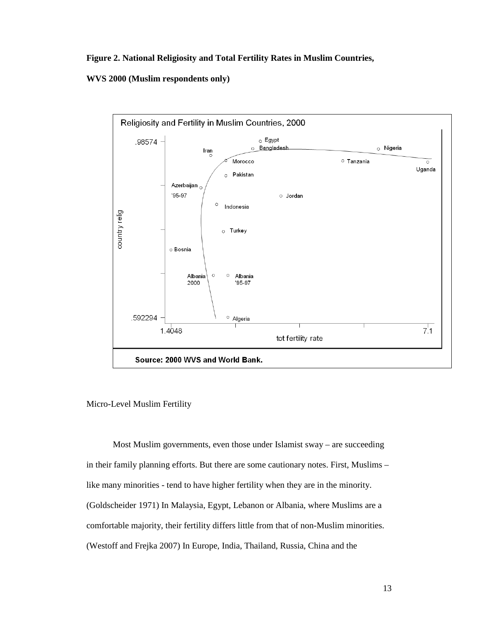**Figure 2. National Religiosity and Total Fertility Rates in Muslim Countries,** 

**WVS 2000 (Muslim respondents only)** 



Micro-Level Muslim Fertility

Most Muslim governments, even those under Islamist sway – are succeeding in their family planning efforts. But there are some cautionary notes. First, Muslims – like many minorities - tend to have higher fertility when they are in the minority. (Goldscheider 1971) In Malaysia, Egypt, Lebanon or Albania, where Muslims are a comfortable majority, their fertility differs little from that of non-Muslim minorities. (Westoff and Frejka 2007) In Europe, India, Thailand, Russia, China and the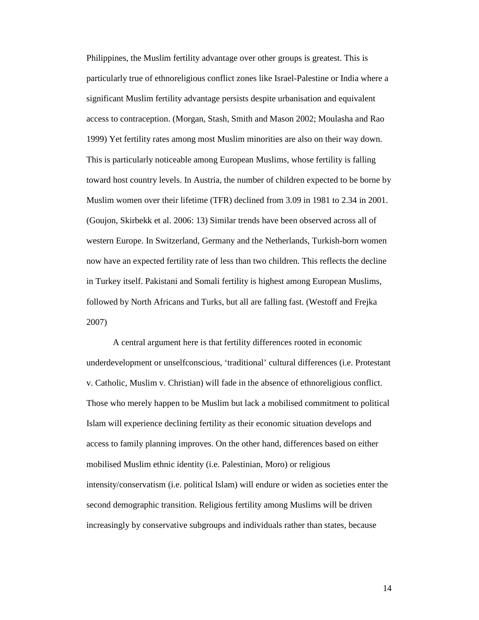Philippines, the Muslim fertility advantage over other groups is greatest. This is particularly true of ethnoreligious conflict zones like Israel-Palestine or India where a significant Muslim fertility advantage persists despite urbanisation and equivalent access to contraception. (Morgan, Stash, Smith and Mason 2002; Moulasha and Rao 1999) Yet fertility rates among most Muslim minorities are also on their way down. This is particularly noticeable among European Muslims, whose fertility is falling toward host country levels. In Austria, the number of children expected to be borne by Muslim women over their lifetime (TFR) declined from 3.09 in 1981 to 2.34 in 2001. (Goujon, Skirbekk et al. 2006: 13) Similar trends have been observed across all of western Europe. In Switzerland, Germany and the Netherlands, Turkish-born women now have an expected fertility rate of less than two children. This reflects the decline in Turkey itself. Pakistani and Somali fertility is highest among European Muslims, followed by North Africans and Turks, but all are falling fast. (Westoff and Frejka 2007)

A central argument here is that fertility differences rooted in economic underdevelopment or unselfconscious, 'traditional' cultural differences (i.e. Protestant v. Catholic, Muslim v. Christian) will fade in the absence of ethnoreligious conflict. Those who merely happen to be Muslim but lack a mobilised commitment to political Islam will experience declining fertility as their economic situation develops and access to family planning improves. On the other hand, differences based on either mobilised Muslim ethnic identity (i.e. Palestinian, Moro) or religious intensity/conservatism (i.e. political Islam) will endure or widen as societies enter the second demographic transition. Religious fertility among Muslims will be driven increasingly by conservative subgroups and individuals rather than states, because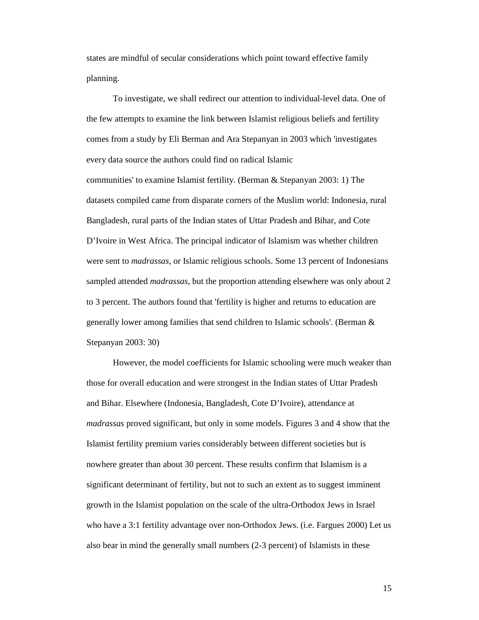states are mindful of secular considerations which point toward effective family planning.

To investigate, we shall redirect our attention to individual-level data. One of the few attempts to examine the link between Islamist religious beliefs and fertility comes from a study by Eli Berman and Ara Stepanyan in 2003 which 'investigates every data source the authors could find on radical Islamic communities' to examine Islamist fertility. (Berman & Stepanyan 2003: 1) The datasets compiled came from disparate corners of the Muslim world: Indonesia, rural Bangladesh, rural parts of the Indian states of Uttar Pradesh and Bihar, and Cote D'Ivoire in West Africa. The principal indicator of Islamism was whether children were sent to *madrassas*, or Islamic religious schools. Some 13 percent of Indonesians sampled attended *madrassas*, but the proportion attending elsewhere was only about 2 to 3 percent. The authors found that 'fertility is higher and returns to education are generally lower among families that send children to Islamic schools'. (Berman & Stepanyan 2003: 30)

However, the model coefficients for Islamic schooling were much weaker than those for overall education and were strongest in the Indian states of Uttar Pradesh and Bihar. Elsewhere (Indonesia, Bangladesh, Cote D'Ivoire), attendance at *madrassas* proved significant, but only in some models. Figures 3 and 4 show that the Islamist fertility premium varies considerably between different societies but is nowhere greater than about 30 percent. These results confirm that Islamism is a significant determinant of fertility, but not to such an extent as to suggest imminent growth in the Islamist population on the scale of the ultra-Orthodox Jews in Israel who have a 3:1 fertility advantage over non-Orthodox Jews. (i.e. Fargues 2000) Let us also bear in mind the generally small numbers (2-3 percent) of Islamists in these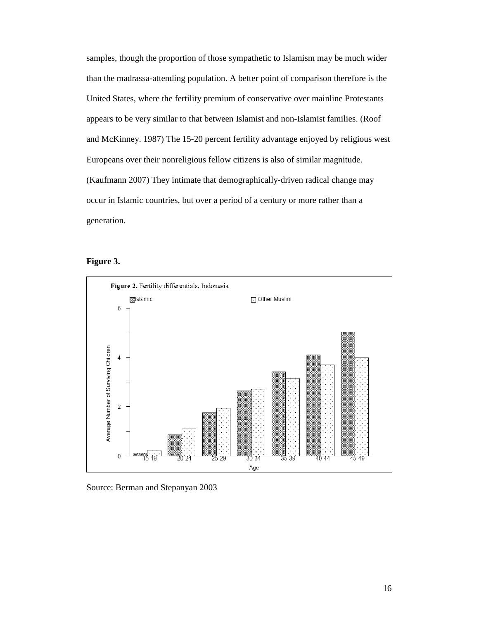samples, though the proportion of those sympathetic to Islamism may be much wider than the madrassa-attending population. A better point of comparison therefore is the United States, where the fertility premium of conservative over mainline Protestants appears to be very similar to that between Islamist and non-Islamist families. (Roof and McKinney. 1987) The 15-20 percent fertility advantage enjoyed by religious west Europeans over their nonreligious fellow citizens is also of similar magnitude. (Kaufmann 2007) They intimate that demographically-driven radical change may occur in Islamic countries, but over a period of a century or more rather than a generation.





Source: Berman and Stepanyan 2003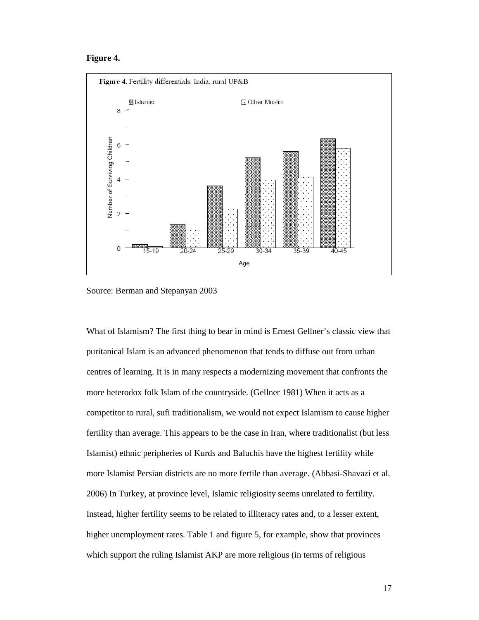### **Figure 4.**



Source: Berman and Stepanyan 2003

What of Islamism? The first thing to bear in mind is Ernest Gellner's classic view that puritanical Islam is an advanced phenomenon that tends to diffuse out from urban centres of learning. It is in many respects a modernizing movement that confronts the more heterodox folk Islam of the countryside. (Gellner 1981) When it acts as a competitor to rural, sufi traditionalism, we would not expect Islamism to cause higher fertility than average. This appears to be the case in Iran, where traditionalist (but less Islamist) ethnic peripheries of Kurds and Baluchis have the highest fertility while more Islamist Persian districts are no more fertile than average. (Abbasi-Shavazi et al. 2006) In Turkey, at province level, Islamic religiosity seems unrelated to fertility. Instead, higher fertility seems to be related to illiteracy rates and, to a lesser extent, higher unemployment rates. Table 1 and figure 5, for example, show that provinces which support the ruling Islamist AKP are more religious (in terms of religious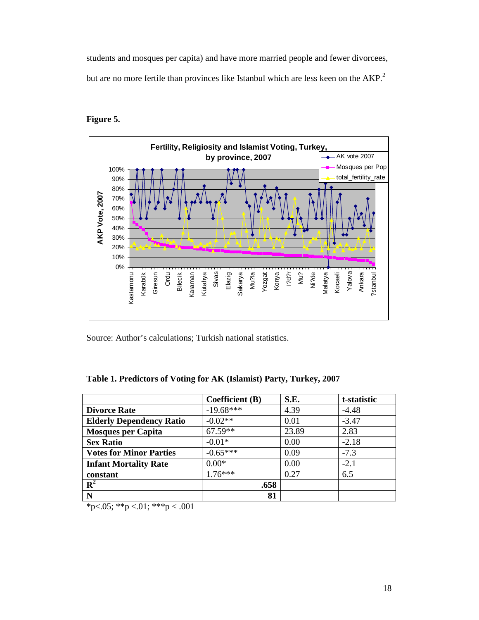students and mosques per capita) and have more married people and fewer divorcees, but are no more fertile than provinces like Istanbul which are less keen on the  $AKP<sup>2</sup>$ .



# **Figure 5.**

Source: Author's calculations; Turkish national statistics.

## **Table 1. Predictors of Voting for AK (Islamist) Party, Turkey, 2007**

|                                 | <b>Coefficient</b> (B) | S.E.  | t-statistic |
|---------------------------------|------------------------|-------|-------------|
| <b>Divorce Rate</b>             | $-19.68***$            | 4.39  | $-4.48$     |
| <b>Elderly Dependency Ratio</b> | $-0.02**$              | 0.01  | $-3.47$     |
| <b>Mosques per Capita</b>       | $67.59**$              | 23.89 | 2.83        |
| <b>Sex Ratio</b>                | $-0.01*$               | 0.00  | $-2.18$     |
| <b>Votes for Minor Parties</b>  | $-0.65***$             | 0.09  | $-7.3$      |
| <b>Infant Mortality Rate</b>    | $0.00*$                | 0.00  | $-2.1$      |
| constant                        | $176***$               | 0.27  | 6.5         |
| $\mathbf{R}^2$                  | .658                   |       |             |
| N                               | 81                     |       |             |

\*p<.05; \*\*p <.01; \*\*\*p <.001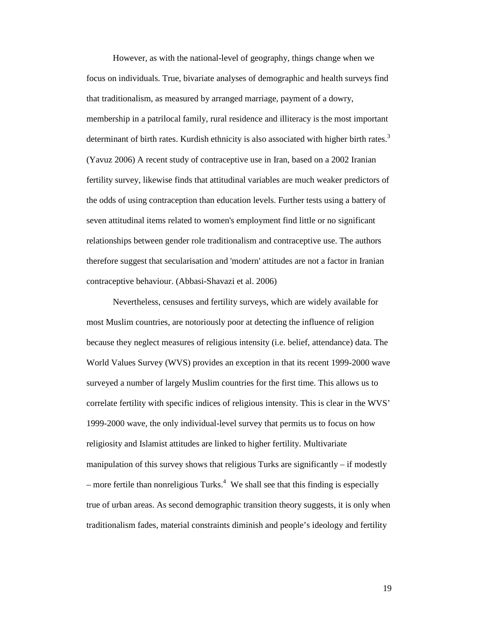However, as with the national-level of geography, things change when we focus on individuals. True, bivariate analyses of demographic and health surveys find that traditionalism, as measured by arranged marriage, payment of a dowry, membership in a patrilocal family, rural residence and illiteracy is the most important determinant of birth rates. Kurdish ethnicity is also associated with higher birth rates.<sup>3</sup> (Yavuz 2006) A recent study of contraceptive use in Iran, based on a 2002 Iranian fertility survey, likewise finds that attitudinal variables are much weaker predictors of the odds of using contraception than education levels. Further tests using a battery of seven attitudinal items related to women's employment find little or no significant relationships between gender role traditionalism and contraceptive use. The authors therefore suggest that secularisation and 'modern' attitudes are not a factor in Iranian contraceptive behaviour. (Abbasi-Shavazi et al. 2006)

Nevertheless, censuses and fertility surveys, which are widely available for most Muslim countries, are notoriously poor at detecting the influence of religion because they neglect measures of religious intensity (i.e. belief, attendance) data. The World Values Survey (WVS) provides an exception in that its recent 1999-2000 wave surveyed a number of largely Muslim countries for the first time. This allows us to correlate fertility with specific indices of religious intensity. This is clear in the WVS' 1999-2000 wave, the only individual-level survey that permits us to focus on how religiosity and Islamist attitudes are linked to higher fertility. Multivariate manipulation of this survey shows that religious Turks are significantly – if modestly  $-$  more fertile than nonreligious Turks.<sup>4</sup> We shall see that this finding is especially true of urban areas. As second demographic transition theory suggests, it is only when traditionalism fades, material constraints diminish and people's ideology and fertility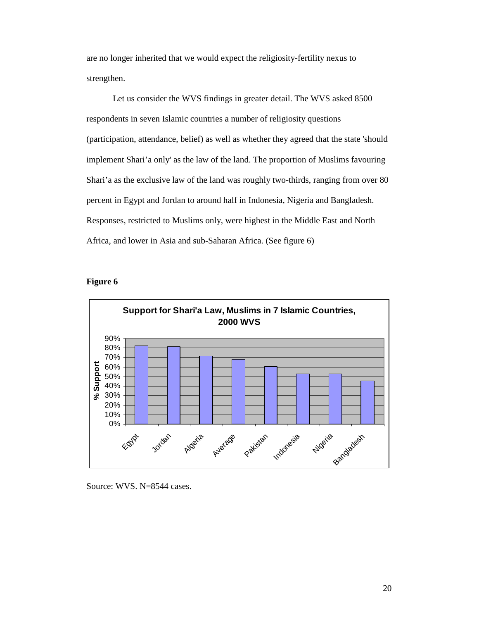are no longer inherited that we would expect the religiosity-fertility nexus to strengthen.

Let us consider the WVS findings in greater detail. The WVS asked 8500 respondents in seven Islamic countries a number of religiosity questions (participation, attendance, belief) as well as whether they agreed that the state 'should implement Shari'a only' as the law of the land. The proportion of Muslims favouring Shari'a as the exclusive law of the land was roughly two-thirds, ranging from over 80 percent in Egypt and Jordan to around half in Indonesia, Nigeria and Bangladesh. Responses, restricted to Muslims only, were highest in the Middle East and North Africa, and lower in Asia and sub-Saharan Africa. (See figure 6)





Source: WVS. N=8544 cases.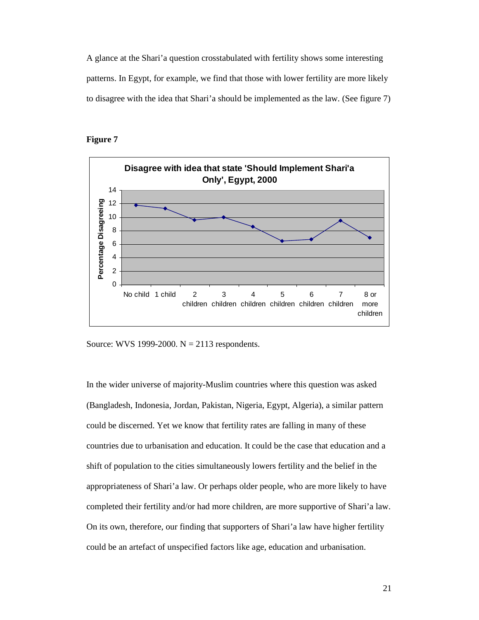A glance at the Shari'a question crosstabulated with fertility shows some interesting patterns. In Egypt, for example, we find that those with lower fertility are more likely to disagree with the idea that Shari'a should be implemented as the law. (See figure 7)

### **Figure 7**



Source: WVS 1999-2000.  $N = 2113$  respondents.

In the wider universe of majority-Muslim countries where this question was asked (Bangladesh, Indonesia, Jordan, Pakistan, Nigeria, Egypt, Algeria), a similar pattern could be discerned. Yet we know that fertility rates are falling in many of these countries due to urbanisation and education. It could be the case that education and a shift of population to the cities simultaneously lowers fertility and the belief in the appropriateness of Shari'a law. Or perhaps older people, who are more likely to have completed their fertility and/or had more children, are more supportive of Shari'a law. On its own, therefore, our finding that supporters of Shari'a law have higher fertility could be an artefact of unspecified factors like age, education and urbanisation.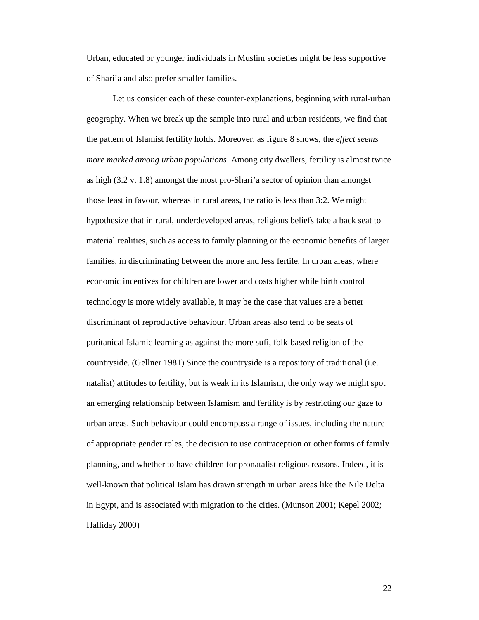Urban, educated or younger individuals in Muslim societies might be less supportive of Shari'a and also prefer smaller families.

Let us consider each of these counter-explanations, beginning with rural-urban geography. When we break up the sample into rural and urban residents, we find that the pattern of Islamist fertility holds. Moreover, as figure 8 shows, the *effect seems more marked among urban populations*. Among city dwellers, fertility is almost twice as high (3.2 v. 1.8) amongst the most pro-Shari'a sector of opinion than amongst those least in favour, whereas in rural areas, the ratio is less than 3:2. We might hypothesize that in rural, underdeveloped areas, religious beliefs take a back seat to material realities, such as access to family planning or the economic benefits of larger families, in discriminating between the more and less fertile. In urban areas, where economic incentives for children are lower and costs higher while birth control technology is more widely available, it may be the case that values are a better discriminant of reproductive behaviour. Urban areas also tend to be seats of puritanical Islamic learning as against the more sufi, folk-based religion of the countryside. (Gellner 1981) Since the countryside is a repository of traditional (i.e. natalist) attitudes to fertility, but is weak in its Islamism, the only way we might spot an emerging relationship between Islamism and fertility is by restricting our gaze to urban areas. Such behaviour could encompass a range of issues, including the nature of appropriate gender roles, the decision to use contraception or other forms of family planning, and whether to have children for pronatalist religious reasons. Indeed, it is well-known that political Islam has drawn strength in urban areas like the Nile Delta in Egypt, and is associated with migration to the cities. (Munson 2001; Kepel 2002; Halliday 2000)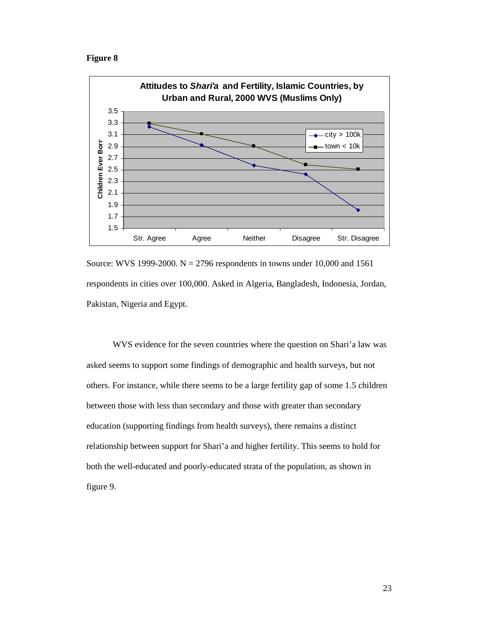### **Figure 8**



Source: WVS 1999-2000. N = 2796 respondents in towns under 10,000 and 1561 respondents in cities over 100,000. Asked in Algeria, Bangladesh, Indonesia, Jordan, Pakistan, Nigeria and Egypt.

WVS evidence for the seven countries where the question on Shari'a law was asked seems to support some findings of demographic and health surveys, but not others. For instance, while there seems to be a large fertility gap of some 1.5 children between those with less than secondary and those with greater than secondary education (supporting findings from health surveys), there remains a distinct relationship between support for Shari'a and higher fertility. This seems to hold for both the well-educated and poorly-educated strata of the population, as shown in figure 9.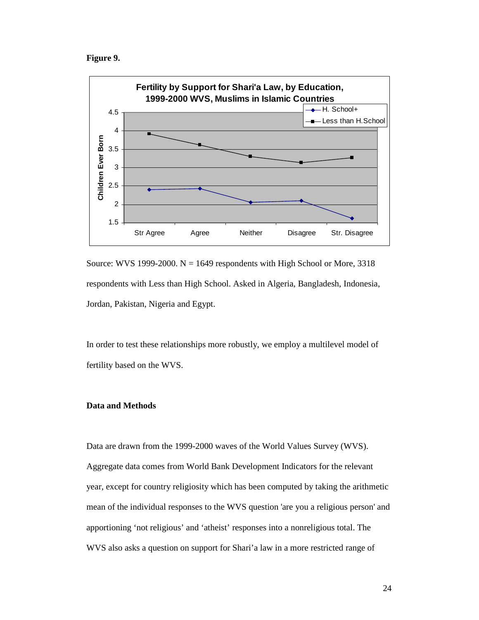**Figure 9.** 



Source: WVS 1999-2000.  $N = 1649$  respondents with High School or More, 3318 respondents with Less than High School. Asked in Algeria, Bangladesh, Indonesia, Jordan, Pakistan, Nigeria and Egypt.

In order to test these relationships more robustly, we employ a multilevel model of fertility based on the WVS.

### **Data and Methods**

Data are drawn from the 1999-2000 waves of the World Values Survey (WVS). Aggregate data comes from World Bank Development Indicators for the relevant year, except for country religiosity which has been computed by taking the arithmetic mean of the individual responses to the WVS question 'are you a religious person' and apportioning 'not religious' and 'atheist' responses into a nonreligious total. The WVS also asks a question on support for Shari'a law in a more restricted range of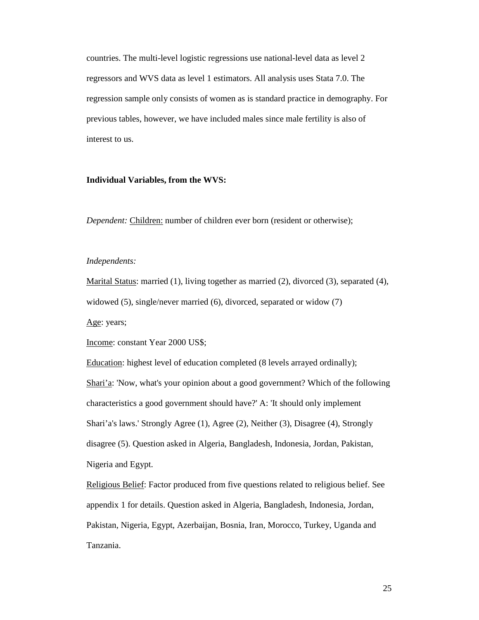countries. The multi-level logistic regressions use national-level data as level 2 regressors and WVS data as level 1 estimators. All analysis uses Stata 7.0. The regression sample only consists of women as is standard practice in demography. For previous tables, however, we have included males since male fertility is also of interest to us.

### **Individual Variables, from the WVS:**

*Dependent:* Children: number of children ever born (resident or otherwise);

### *Independents:*

Marital Status: married (1), living together as married (2), divorced (3), separated (4),

widowed (5), single/never married (6), divorced, separated or widow (7)

Age: years;

Income: constant Year 2000 US\$;

Education: highest level of education completed (8 levels arrayed ordinally);

Shari'a: 'Now, what's your opinion about a good government? Which of the following characteristics a good government should have?' A: 'It should only implement Shari'a's laws.' Strongly Agree (1), Agree (2), Neither (3), Disagree (4), Strongly disagree (5). Question asked in Algeria, Bangladesh, Indonesia, Jordan, Pakistan, Nigeria and Egypt.

Religious Belief: Factor produced from five questions related to religious belief. See appendix 1 for details. Question asked in Algeria, Bangladesh, Indonesia, Jordan, Pakistan, Nigeria, Egypt, Azerbaijan, Bosnia, Iran, Morocco, Turkey, Uganda and Tanzania.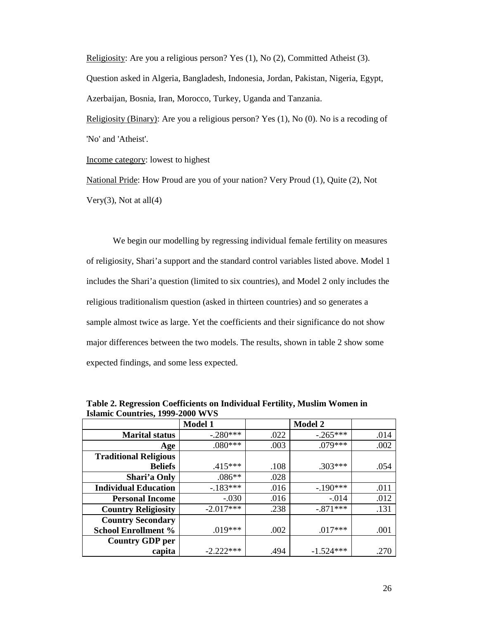Religiosity: Are you a religious person? Yes (1), No (2), Committed Atheist (3). Question asked in Algeria, Bangladesh, Indonesia, Jordan, Pakistan, Nigeria, Egypt, Azerbaijan, Bosnia, Iran, Morocco, Turkey, Uganda and Tanzania.

Religiosity (Binary): Are you a religious person? Yes (1), No (0). No is a recoding of 'No' and 'Atheist'.

Income category: lowest to highest

National Pride: How Proud are you of your nation? Very Proud (1), Quite (2), Not Very $(3)$ , Not at all $(4)$ 

 We begin our modelling by regressing individual female fertility on measures of religiosity, Shari'a support and the standard control variables listed above. Model 1 includes the Shari'a question (limited to six countries), and Model 2 only includes the religious traditionalism question (asked in thirteen countries) and so generates a sample almost twice as large. Yet the coefficients and their significance do not show major differences between the two models. The results, shown in table 2 show some expected findings, and some less expected.

|                              | <b>Model 1</b> |      | <b>Model 2</b> |      |
|------------------------------|----------------|------|----------------|------|
| <b>Marital status</b>        | $-280***$      | .022 | $-0.265***$    | .014 |
| Age                          | $.080***$      | .003 | $.079***$      | .002 |
| <b>Traditional Religious</b> |                |      |                |      |
| <b>Beliefs</b>               | $.415***$      | .108 | $.303***$      | .054 |
| Shari'a Only                 | $.086**$       | .028 |                |      |
| <b>Individual Education</b>  | $-.183***$     | .016 | $-.190***$     | .011 |
| <b>Personal Income</b>       | $-.030$        | .016 | $-.014$        | .012 |
| <b>Country Religiosity</b>   | $-2.017***$    | .238 | $-.871***$     | .131 |
| <b>Country Secondary</b>     |                |      |                |      |
| <b>School Enrollment %</b>   | $.019***$      | .002 | $.017***$      | .001 |
| <b>Country GDP per</b>       |                |      |                |      |
| capita                       | $-2.222***$    | .494 | $-1.524***$    | .270 |

**Table 2. Regression Coefficients on Individual Fertility, Muslim Women in Islamic Countries, 1999-2000 WVS**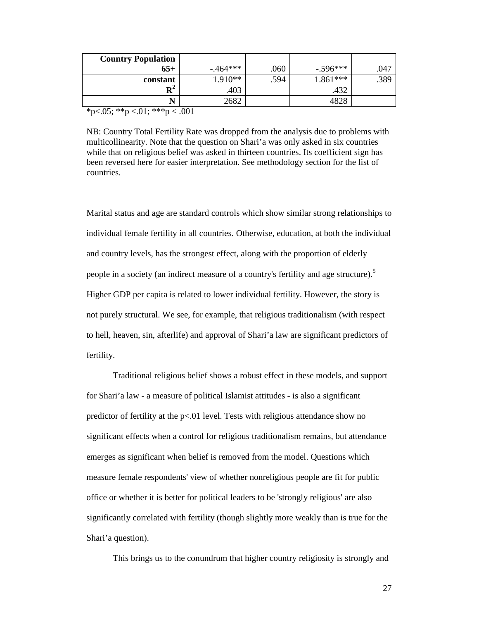| <b>Country Population</b> |             |      |            |      |
|---------------------------|-------------|------|------------|------|
| $65+$                     | $-0.464***$ | .060 | $-.596***$ | .047 |
| constant                  | $1.910**$   | .594 | $1.861***$ | .389 |
| $\mathbf{R}^2$            | .403        |      | .432       |      |
|                           | 2682        |      | 4828       |      |
| .<br>- - -                | ---         |      |            |      |

\*p<.05; \*\*p <.01; \*\*\*p < .001

NB: Country Total Fertility Rate was dropped from the analysis due to problems with multicollinearity. Note that the question on Shari'a was only asked in six countries while that on religious belief was asked in thirteen countries. Its coefficient sign has been reversed here for easier interpretation. See methodology section for the list of countries.

Marital status and age are standard controls which show similar strong relationships to individual female fertility in all countries. Otherwise, education, at both the individual and country levels, has the strongest effect, along with the proportion of elderly people in a society (an indirect measure of a country's fertility and age structure).<sup>5</sup> Higher GDP per capita is related to lower individual fertility. However, the story is not purely structural. We see, for example, that religious traditionalism (with respect to hell, heaven, sin, afterlife) and approval of Shari'a law are significant predictors of fertility.

Traditional religious belief shows a robust effect in these models, and support for Shari'a law - a measure of political Islamist attitudes - is also a significant predictor of fertility at the p<.01 level. Tests with religious attendance show no significant effects when a control for religious traditionalism remains, but attendance emerges as significant when belief is removed from the model. Questions which measure female respondents' view of whether nonreligious people are fit for public office or whether it is better for political leaders to be 'strongly religious' are also significantly correlated with fertility (though slightly more weakly than is true for the Shari'a question).

This brings us to the conundrum that higher country religiosity is strongly and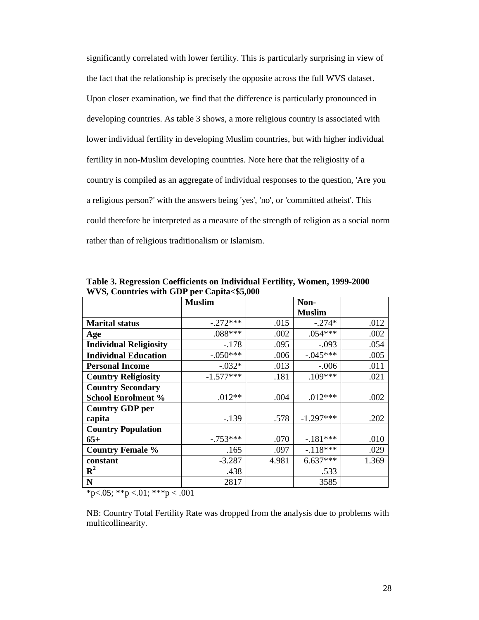significantly correlated with lower fertility. This is particularly surprising in view of the fact that the relationship is precisely the opposite across the full WVS dataset. Upon closer examination, we find that the difference is particularly pronounced in developing countries. As table 3 shows, a more religious country is associated with lower individual fertility in developing Muslim countries, but with higher individual fertility in non-Muslim developing countries. Note here that the religiosity of a country is compiled as an aggregate of individual responses to the question, 'Are you a religious person?' with the answers being 'yes', 'no', or 'committed atheist'. This could therefore be interpreted as a measure of the strength of religion as a social norm rather than of religious traditionalism or Islamism.

|                               | <b>Muslim</b> |       | Non-          |       |
|-------------------------------|---------------|-------|---------------|-------|
|                               |               |       | <b>Muslim</b> |       |
| <b>Marital status</b>         | $-.272***$    | .015  | $-.274*$      | .012  |
| Age                           | .088***       | .002  | $.054***$     | .002  |
| <b>Individual Religiosity</b> | $-.178$       | .095  | $-.093$       | .054  |
| <b>Individual Education</b>   | $-.050***$    | .006  | $-.045***$    | .005  |
| <b>Personal Income</b>        | $-.032*$      | .013  | $-.006$       | .011  |
| <b>Country Religiosity</b>    | $-1.577***$   | .181  | $.109***$     | .021  |
| <b>Country Secondary</b>      |               |       |               |       |
| <b>School Enrolment %</b>     | $.012**$      | .004  | $.012***$     | .002  |
| <b>Country GDP per</b>        |               |       |               |       |
| capita                        | $-.139$       | .578  | $-1.297***$   | .202  |
| <b>Country Population</b>     |               |       |               |       |
| $65+$                         | $-.753***$    | .070  | $-181***$     | .010  |
| <b>Country Female %</b>       | .165          | .097  | $-.118***$    | .029  |
| constant                      | $-3.287$      | 4.981 | $6.637***$    | 1.369 |
| ${\bf R}^2$                   | .438          |       | .533          |       |
| ${\bf N}$                     | 2817          |       | 3585          |       |

**Table 3. Regression Coefficients on Individual Fertility, Women, 1999-2000 WVS, Countries with GDP per Capita<\$5,000**

 $*p<0.05$ ;  $*p<0.1$ ;  $**p<0.01$ 

NB: Country Total Fertility Rate was dropped from the analysis due to problems with multicollinearity.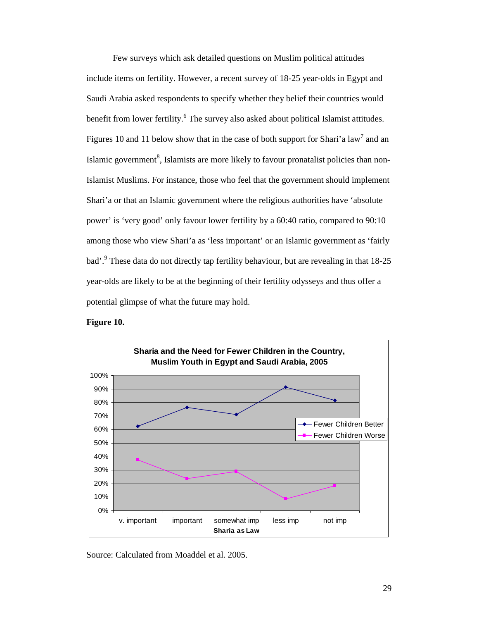Few surveys which ask detailed questions on Muslim political attitudes include items on fertility. However, a recent survey of 18-25 year-olds in Egypt and Saudi Arabia asked respondents to specify whether they belief their countries would benefit from lower fertility.<sup>6</sup> The survey also asked about political Islamist attitudes. Figures 10 and 11 below show that in the case of both support for Shari'a law<sup>7</sup> and an Islamic government<sup>8</sup>, Islamists are more likely to favour pronatalist policies than non-Islamist Muslims. For instance, those who feel that the government should implement Shari'a or that an Islamic government where the religious authorities have 'absolute power' is 'very good' only favour lower fertility by a 60:40 ratio, compared to 90:10 among those who view Shari'a as 'less important' or an Islamic government as 'fairly bad'.<sup>9</sup> These data do not directly tap fertility behaviour, but are revealing in that 18-25 year-olds are likely to be at the beginning of their fertility odysseys and thus offer a potential glimpse of what the future may hold.



**Figure 10.** 

Source: Calculated from Moaddel et al. 2005.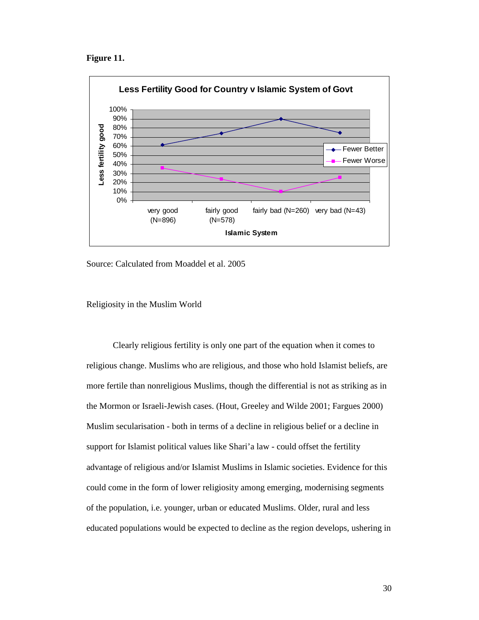



Source: Calculated from Moaddel et al. 2005

Religiosity in the Muslim World

 Clearly religious fertility is only one part of the equation when it comes to religious change. Muslims who are religious, and those who hold Islamist beliefs, are more fertile than nonreligious Muslims, though the differential is not as striking as in the Mormon or Israeli-Jewish cases. (Hout, Greeley and Wilde 2001; Fargues 2000) Muslim secularisation - both in terms of a decline in religious belief or a decline in support for Islamist political values like Shari'a law - could offset the fertility advantage of religious and/or Islamist Muslims in Islamic societies. Evidence for this could come in the form of lower religiosity among emerging, modernising segments of the population, i.e. younger, urban or educated Muslims. Older, rural and less educated populations would be expected to decline as the region develops, ushering in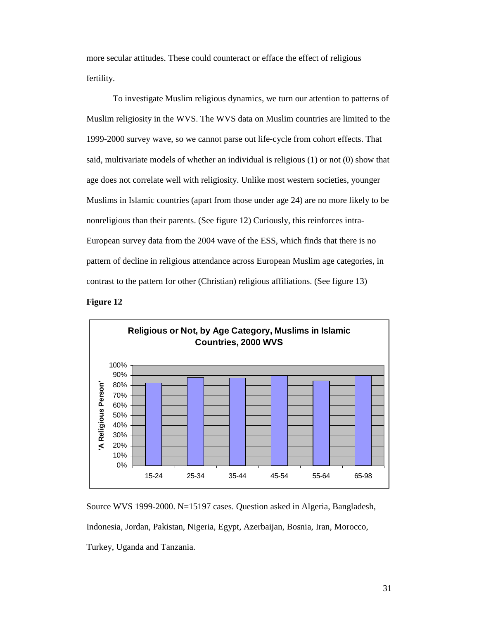more secular attitudes. These could counteract or efface the effect of religious fertility.

To investigate Muslim religious dynamics, we turn our attention to patterns of Muslim religiosity in the WVS. The WVS data on Muslim countries are limited to the 1999-2000 survey wave, so we cannot parse out life-cycle from cohort effects. That said, multivariate models of whether an individual is religious (1) or not (0) show that age does not correlate well with religiosity. Unlike most western societies, younger Muslims in Islamic countries (apart from those under age 24) are no more likely to be nonreligious than their parents. (See figure 12) Curiously, this reinforces intra-European survey data from the 2004 wave of the ESS, which finds that there is no pattern of decline in religious attendance across European Muslim age categories, in contrast to the pattern for other (Christian) religious affiliations. (See figure 13)





Source WVS 1999-2000. N=15197 cases. Question asked in Algeria, Bangladesh, Indonesia, Jordan, Pakistan, Nigeria, Egypt, Azerbaijan, Bosnia, Iran, Morocco, Turkey, Uganda and Tanzania.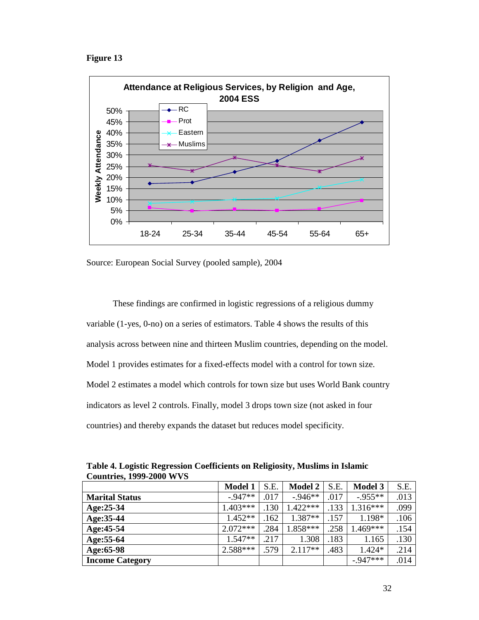**Figure 13** 



Source: European Social Survey (pooled sample), 2004

 These findings are confirmed in logistic regressions of a religious dummy variable (1-yes, 0-no) on a series of estimators. Table 4 shows the results of this analysis across between nine and thirteen Muslim countries, depending on the model. Model 1 provides estimates for a fixed-effects model with a control for town size. Model 2 estimates a model which controls for town size but uses World Bank country indicators as level 2 controls. Finally, model 3 drops town size (not asked in four countries) and thereby expands the dataset but reduces model specificity.

| $\mathbf{C}$ of $\mathbf{C}$ and $\mathbf{C}$ and $\mathbf{C}$ and $\mathbf{C}$ and $\mathbf{C}$ |                |      |                |      |                |      |
|--------------------------------------------------------------------------------------------------|----------------|------|----------------|------|----------------|------|
|                                                                                                  | <b>Model 1</b> | S.E. | <b>Model 2</b> | S.E. | <b>Model 3</b> | S.E. |
| <b>Marital Status</b>                                                                            | $-0.947**$     | .017 | $-0.946**$     | .017 | $-0.955**$     | .013 |
| $Age:25-34$                                                                                      | $1.403***$     | .130 | $1.422***$     | .133 | $1.316***$     | .099 |
| Age: 35-44                                                                                       | $1.452**$      | .162 | $1.387**$      | .157 | $1.198*$       | .106 |
| Age: 45-54                                                                                       | $2.072***$     | .284 | 1.858***       | .258 | 1.469***       | .154 |
| Age: 55-64                                                                                       | $1.547**$      | .217 | 1.308          | .183 | 1.165          | .130 |
| Age:65-98                                                                                        | $2.588***$     | .579 | $2.117**$      | .483 | $1.424*$       | .214 |
| <b>Income Category</b>                                                                           |                |      |                |      | $-0.947***$    | .014 |

**Table 4. Logistic Regression Coefficients on Religiosity, Muslims in Islamic Countries, 1999-2000 WVS**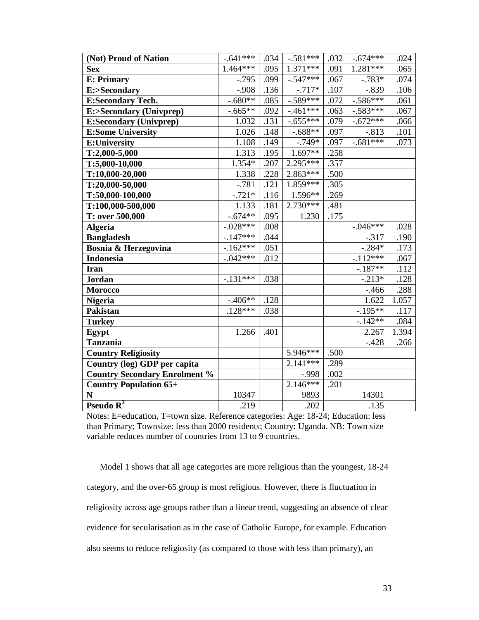| (Not) Proud of Nation                | $-.641***$  | .034 | $-.581***$ | .032 | $-.674***$          | .024  |
|--------------------------------------|-------------|------|------------|------|---------------------|-------|
| <b>Sex</b>                           | $1.464***$  | .095 | $1.371***$ | .091 | 1.281***            | .065  |
| <b>E: Primary</b>                    | $-0.795$    | .099 | $-.547***$ | .067 | $-.783*$            | .074  |
| E:>Secondary                         | $-.908$     | .136 | $-.717*$   | .107 | $-.839$             | .106  |
| <b>E:Secondary Tech.</b>             | $-.680**$   | .085 | $-.589***$ | .072 | $-.586***$          | .061  |
| E:>Secondary (Univprep)              | $-.665**$   | .092 | $-.461***$ | .063 | $-.583***$          | .067  |
| <b>E:Secondary (Univprep)</b>        | 1.032       | .131 | $-.655***$ | .079 | $-.672***$          | .066  |
| <b>E:Some University</b>             | 1.026       | .148 | $-.688**$  | .097 | $-.813$             | .101  |
| <b>E:University</b>                  | 1.108       | .149 | $-.749*$   | .097 | $-0.681***$         | .073  |
| $T:2,000-5,000$                      | 1.313       | .195 | 1.697**    | .258 |                     |       |
| T:5,000-10,000                       | 1.354*      | .207 | $2.295***$ | .357 |                     |       |
| T:10,000-20,000                      | 1.338       | .228 | $2.863***$ | .500 |                     |       |
| T:20,000-50,000                      | $-.781$     | .121 | $1.859***$ | .305 |                     |       |
| $T:50,000-100,000$                   | $-.721*$    | .116 | $1.596**$  | .269 |                     |       |
| T:100,000-500,000                    | 1.133       | .181 | $2.730***$ | .481 |                     |       |
| T: over 500,000                      | $-.674**$   | .095 | 1.230      | .175 |                     |       |
| <b>Algeria</b>                       | $-.028***$  | .008 |            |      | $-.046***$          | .028  |
| <b>Bangladesh</b>                    | $-147***$   | .044 |            |      | $-.317$             | .190  |
| Bosnia & Herzegovina                 | $-.162***$  | .051 |            |      | $-.284*$            | .173  |
| Indonesia                            | $-0.042***$ | .012 |            |      | $-.112***$          | .067  |
| <b>Iran</b>                          |             |      |            |      | $-.187**$           | .112  |
| <b>Jordan</b>                        | $-131***$   | .038 |            |      | $\overline{-213^*}$ | .128  |
| <b>Morocco</b>                       |             |      |            |      | $-466$              | .288  |
| <b>Nigeria</b>                       | $-.406**$   | .128 |            |      | 1.622               | 1.057 |
| <b>Pakistan</b>                      | $.128***$   | .038 |            |      | $-.195**$           | .117  |
| <b>Turkey</b>                        |             |      |            |      | $-142**$            | .084  |
| Egypt                                | 1.266       | .401 |            |      | 2.267               | 1.394 |
| <b>Tanzania</b>                      |             |      |            |      | $-.428$             | .266  |
| <b>Country Religiosity</b>           |             |      | $5.946***$ | .500 |                     |       |
| Country (log) GDP per capita         |             |      | $2.141***$ | .289 |                     |       |
| <b>Country Secondary Enrolment %</b> |             |      | $-.998$    | .002 |                     |       |
| <b>Country Population 65+</b>        |             |      | $2.146***$ | .201 |                     |       |
| $\mathbf N$                          | 10347       |      | 9893       |      | 14301               |       |
| Pseudo $\overline{R^2}$              | .219        |      | .202       |      | .135                |       |

Notes: E=education, T=town size. Reference categories: Age: 18-24; Education: less than Primary; Townsize: less than 2000 residents; Country: Uganda. NB: Town size variable reduces number of countries from 13 to 9 countries.

Model 1 shows that all age categories are more religious than the youngest, 18-24 category, and the over-65 group is most religious. However, there is fluctuation in religiosity across age groups rather than a linear trend, suggesting an absence of clear evidence for secularisation as in the case of Catholic Europe, for example. Education also seems to reduce religiosity (as compared to those with less than primary), an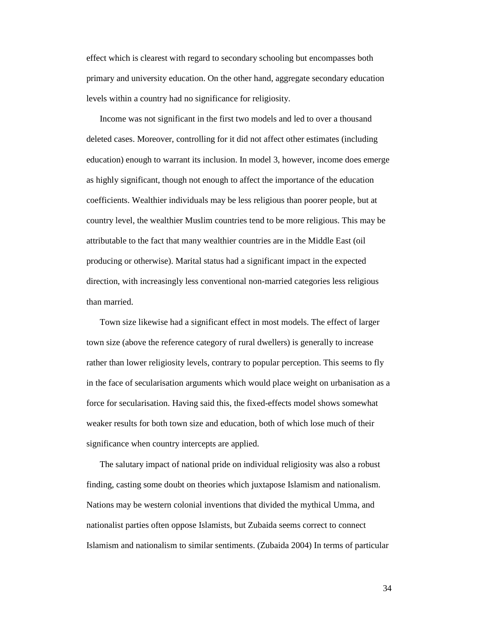effect which is clearest with regard to secondary schooling but encompasses both primary and university education. On the other hand, aggregate secondary education levels within a country had no significance for religiosity.

Income was not significant in the first two models and led to over a thousand deleted cases. Moreover, controlling for it did not affect other estimates (including education) enough to warrant its inclusion. In model 3, however, income does emerge as highly significant, though not enough to affect the importance of the education coefficients. Wealthier individuals may be less religious than poorer people, but at country level, the wealthier Muslim countries tend to be more religious. This may be attributable to the fact that many wealthier countries are in the Middle East (oil producing or otherwise). Marital status had a significant impact in the expected direction, with increasingly less conventional non-married categories less religious than married.

Town size likewise had a significant effect in most models. The effect of larger town size (above the reference category of rural dwellers) is generally to increase rather than lower religiosity levels, contrary to popular perception. This seems to fly in the face of secularisation arguments which would place weight on urbanisation as a force for secularisation. Having said this, the fixed-effects model shows somewhat weaker results for both town size and education, both of which lose much of their significance when country intercepts are applied.

The salutary impact of national pride on individual religiosity was also a robust finding, casting some doubt on theories which juxtapose Islamism and nationalism. Nations may be western colonial inventions that divided the mythical Umma, and nationalist parties often oppose Islamists, but Zubaida seems correct to connect Islamism and nationalism to similar sentiments. (Zubaida 2004) In terms of particular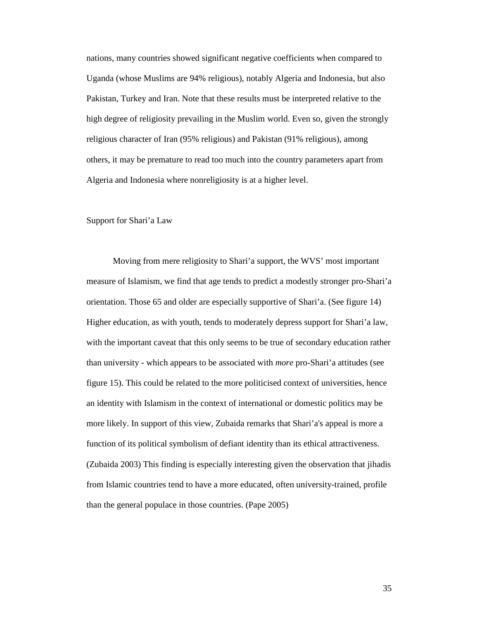nations, many countries showed significant negative coefficients when compared to Uganda (whose Muslims are 94% religious), notably Algeria and Indonesia, but also Pakistan, Turkey and Iran. Note that these results must be interpreted relative to the high degree of religiosity prevailing in the Muslim world. Even so, given the strongly religious character of Iran (95% religious) and Pakistan (91% religious), among others, it may be premature to read too much into the country parameters apart from Algeria and Indonesia where nonreligiosity is at a higher level.

### Support for Shari'a Law

 Moving from mere religiosity to Shari'a support, the WVS' most important measure of Islamism, we find that age tends to predict a modestly stronger pro-Shari'a orientation. Those 65 and older are especially supportive of Shari'a. (See figure 14) Higher education, as with youth, tends to moderately depress support for Shari'a law, with the important caveat that this only seems to be true of secondary education rather than university - which appears to be associated with *more* pro-Shari'a attitudes (see figure 15). This could be related to the more politicised context of universities, hence an identity with Islamism in the context of international or domestic politics may be more likely. In support of this view, Zubaida remarks that Shari'a's appeal is more a function of its political symbolism of defiant identity than its ethical attractiveness. (Zubaida 2003) This finding is especially interesting given the observation that jihadis from Islamic countries tend to have a more educated, often university-trained, profile than the general populace in those countries. (Pape 2005)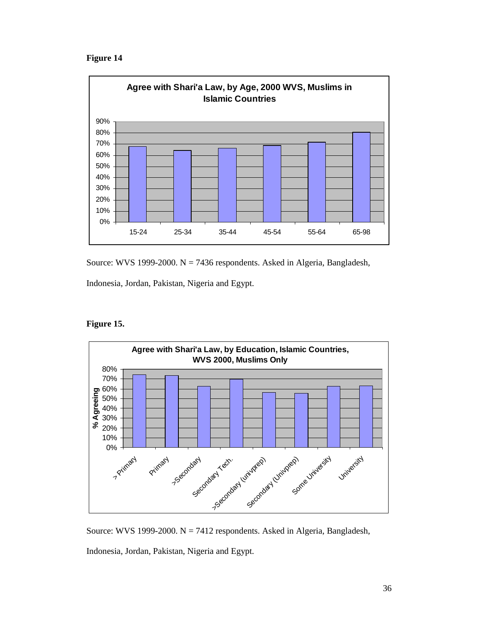



Source: WVS 1999-2000. N = 7436 respondents. Asked in Algeria, Bangladesh,

Indonesia, Jordan, Pakistan, Nigeria and Egypt.

# **Figure 15.**



Source: WVS 1999-2000. N = 7412 respondents. Asked in Algeria, Bangladesh,

Indonesia, Jordan, Pakistan, Nigeria and Egypt.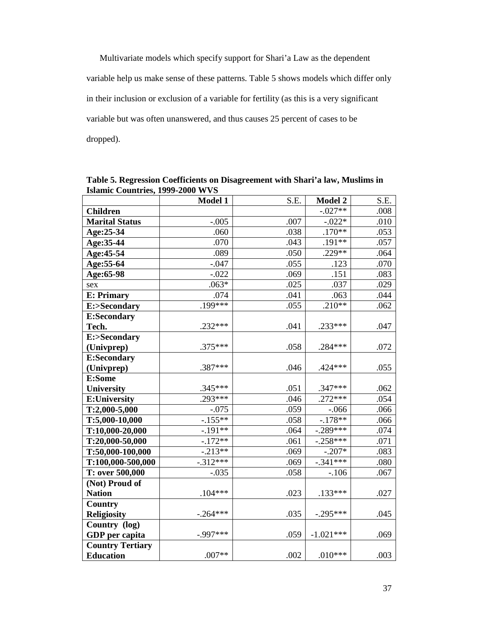Multivariate models which specify support for Shari'a Law as the dependent variable help us make sense of these patterns. Table 5 shows models which differ only in their inclusion or exclusion of a variable for fertility (as this is a very significant variable but was often unanswered, and thus causes 25 percent of cases to be dropped).

|                         | Model 1     | S.E. | <b>Model 2</b> | S.E. |
|-------------------------|-------------|------|----------------|------|
| <b>Children</b>         |             |      | $-.027**$      | .008 |
| <b>Marital Status</b>   | $-.005$     | .007 | $-.022*$       | .010 |
| Age:25-34               | .060        | .038 | $.170**$       | .053 |
| Age: 35-44              | .070        | .043 | $.191**$       | .057 |
| Age: 45-54              | .089        | .050 | $.229**$       | .064 |
| Age: 55-64              | $-.047$     | .055 | .123           | .070 |
| Age:65-98               | $-.022$     | .069 | .151           | .083 |
| sex                     | $.063*$     | .025 | .037           | .029 |
| <b>E: Primary</b>       | .074        | .041 | .063           | .044 |
| E:>Secondary            | $.199***$   | .055 | $.210**$       | .062 |
| <b>E:Secondary</b>      |             |      |                |      |
| Tech.                   | $.232***$   | .041 | .233***        | .047 |
| E:>Secondary            |             |      |                |      |
| (Univprep)              | .375***     | .058 | .284 ***       | .072 |
| <b>E:Secondary</b>      |             |      |                |      |
| (Univprep)              | .387***     | .046 | .424 ***       | .055 |
| E:Some                  |             |      |                |      |
| <b>University</b>       | $.345***$   | .051 | $.347***$      | .062 |
| <b>E:University</b>     | $.293***$   | .046 | $.272***$      | .054 |
| $T:2,000-5,000$         | $-.075$     | .059 | $-.066$        | .066 |
| T:5,000-10,000          | $-155**$    | .058 | $-.178**$      | .066 |
| T:10,000-20,000         | $-191**$    | .064 | $-.289***$     | .074 |
| T:20,000-50,000         | $-.172**$   | .061 | $-.258***$     | .071 |
| T:50,000-100,000        | $-.213**$   | .069 | $-.207*$       | .083 |
| T:100,000-500,000       | $-312***$   | .069 | $-.341***$     | .080 |
| T: over 500,000         | $-.035$     | .058 | $-.106$        | .067 |
| (Not) Proud of          |             |      |                |      |
| <b>Nation</b>           | $.104***$   | .023 | .133***        | .027 |
| <b>Country</b>          |             |      |                |      |
| <b>Religiosity</b>      | $-.264***$  | .035 | $-.295***$     | .045 |
| Country (log)           |             |      |                |      |
| GDP per capita          | $-0.997***$ | .059 | $-1.021***$    | .069 |
| <b>Country Tertiary</b> |             |      |                |      |
| <b>Education</b>        | $.007**$    | .002 | $.010***$      | .003 |

**Table 5. Regression Coefficients on Disagreement with Shari'a law, Muslims in Islamic Countries, 1999-2000 WVS**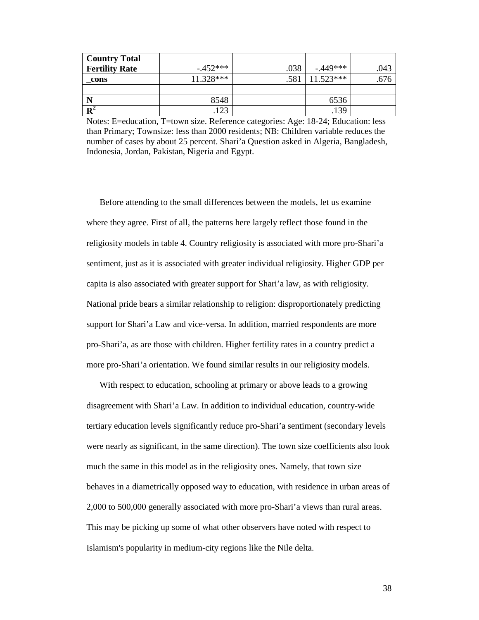| <b>Country Total</b>  |             |      |             |      |
|-----------------------|-------------|------|-------------|------|
| <b>Fertility Rate</b> | $-452***$   | .038 | $-0.449***$ | .043 |
| cons                  | $11.328***$ | .581 | $11.523***$ | .676 |
|                       |             |      |             |      |
|                       | 8548        |      | 6536        |      |
| ${\bf R}^2$           | 123         |      | .139        |      |

Notes: E=education, T=town size. Reference categories: Age: 18-24; Education: less than Primary; Townsize: less than 2000 residents; NB: Children variable reduces the number of cases by about 25 percent. Shari'a Question asked in Algeria, Bangladesh, Indonesia, Jordan, Pakistan, Nigeria and Egypt.

Before attending to the small differences between the models, let us examine where they agree. First of all, the patterns here largely reflect those found in the religiosity models in table 4. Country religiosity is associated with more pro-Shari'a sentiment, just as it is associated with greater individual religiosity. Higher GDP per capita is also associated with greater support for Shari'a law, as with religiosity. National pride bears a similar relationship to religion: disproportionately predicting support for Shari'a Law and vice-versa. In addition, married respondents are more pro-Shari'a, as are those with children. Higher fertility rates in a country predict a more pro-Shari'a orientation. We found similar results in our religiosity models.

With respect to education, schooling at primary or above leads to a growing disagreement with Shari'a Law. In addition to individual education, country-wide tertiary education levels significantly reduce pro-Shari'a sentiment (secondary levels were nearly as significant, in the same direction). The town size coefficients also look much the same in this model as in the religiosity ones. Namely, that town size behaves in a diametrically opposed way to education, with residence in urban areas of 2,000 to 500,000 generally associated with more pro-Shari'a views than rural areas. This may be picking up some of what other observers have noted with respect to Islamism's popularity in medium-city regions like the Nile delta.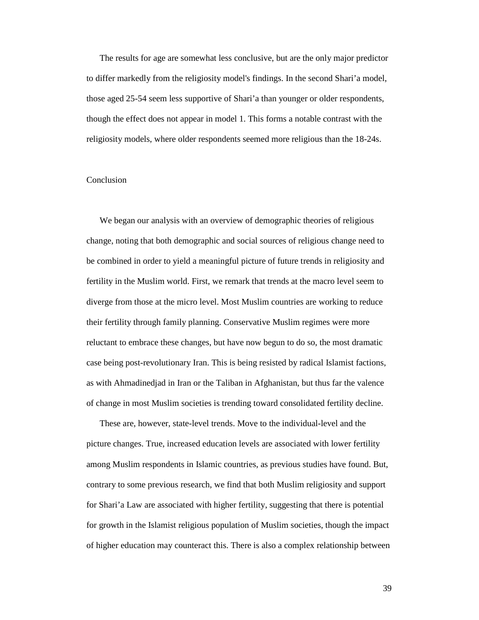The results for age are somewhat less conclusive, but are the only major predictor to differ markedly from the religiosity model's findings. In the second Shari'a model, those aged 25-54 seem less supportive of Shari'a than younger or older respondents, though the effect does not appear in model 1. This forms a notable contrast with the religiosity models, where older respondents seemed more religious than the 18-24s.

### Conclusion

We began our analysis with an overview of demographic theories of religious change, noting that both demographic and social sources of religious change need to be combined in order to yield a meaningful picture of future trends in religiosity and fertility in the Muslim world. First, we remark that trends at the macro level seem to diverge from those at the micro level. Most Muslim countries are working to reduce their fertility through family planning. Conservative Muslim regimes were more reluctant to embrace these changes, but have now begun to do so, the most dramatic case being post-revolutionary Iran. This is being resisted by radical Islamist factions, as with Ahmadinedjad in Iran or the Taliban in Afghanistan, but thus far the valence of change in most Muslim societies is trending toward consolidated fertility decline.

These are, however, state-level trends. Move to the individual-level and the picture changes. True, increased education levels are associated with lower fertility among Muslim respondents in Islamic countries, as previous studies have found. But, contrary to some previous research, we find that both Muslim religiosity and support for Shari'a Law are associated with higher fertility, suggesting that there is potential for growth in the Islamist religious population of Muslim societies, though the impact of higher education may counteract this. There is also a complex relationship between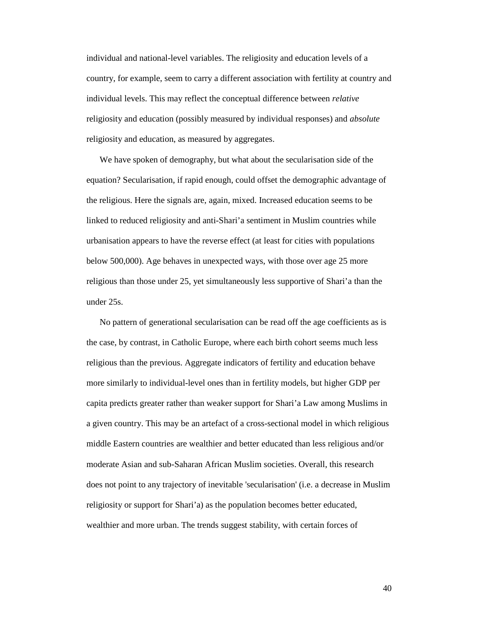individual and national-level variables. The religiosity and education levels of a country, for example, seem to carry a different association with fertility at country and individual levels. This may reflect the conceptual difference between *relative* religiosity and education (possibly measured by individual responses) and *absolute* religiosity and education, as measured by aggregates.

We have spoken of demography, but what about the secularisation side of the equation? Secularisation, if rapid enough, could offset the demographic advantage of the religious. Here the signals are, again, mixed. Increased education seems to be linked to reduced religiosity and anti-Shari'a sentiment in Muslim countries while urbanisation appears to have the reverse effect (at least for cities with populations below 500,000). Age behaves in unexpected ways, with those over age 25 more religious than those under 25, yet simultaneously less supportive of Shari'a than the under 25s.

No pattern of generational secularisation can be read off the age coefficients as is the case, by contrast, in Catholic Europe, where each birth cohort seems much less religious than the previous. Aggregate indicators of fertility and education behave more similarly to individual-level ones than in fertility models, but higher GDP per capita predicts greater rather than weaker support for Shari'a Law among Muslims in a given country. This may be an artefact of a cross-sectional model in which religious middle Eastern countries are wealthier and better educated than less religious and/or moderate Asian and sub-Saharan African Muslim societies. Overall, this research does not point to any trajectory of inevitable 'secularisation' (i.e. a decrease in Muslim religiosity or support for Shari'a) as the population becomes better educated, wealthier and more urban. The trends suggest stability, with certain forces of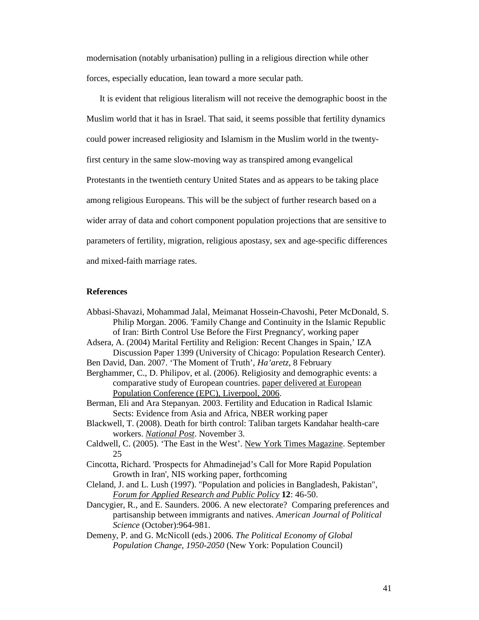modernisation (notably urbanisation) pulling in a religious direction while other forces, especially education, lean toward a more secular path.

It is evident that religious literalism will not receive the demographic boost in the Muslim world that it has in Israel. That said, it seems possible that fertility dynamics could power increased religiosity and Islamism in the Muslim world in the twentyfirst century in the same slow-moving way as transpired among evangelical Protestants in the twentieth century United States and as appears to be taking place among religious Europeans. This will be the subject of further research based on a wider array of data and cohort component population projections that are sensitive to parameters of fertility, migration, religious apostasy, sex and age-specific differences and mixed-faith marriage rates.

#### **References**

- Abbasi-Shavazi, Mohammad Jalal, Meimanat Hossein-Chavoshi, Peter McDonald, S. Philip Morgan. 2006. 'Family Change and Continuity in the Islamic Republic of Iran: Birth Control Use Before the First Pregnancy', working paper Adsera, A. (2004) Marital Fertility and Religion: Recent Changes in Spain,' IZA Discussion Paper 1399 (University of Chicago: Population Research Center). Ben David, Dan. 2007. 'The Moment of Truth', *Ha'aretz*, 8 February Berghammer, C., D. Philipov, et al. (2006). Religiosity and demographic events: a comparative study of European countries. paper delivered at European Population Conference (EPC), Liverpool, 2006. Berman, Eli and Ara Stepanyan. 2003. Fertility and Education in Radical Islamic Sects: Evidence from Asia and Africa, NBER working paper Blackwell, T. (2008). Death for birth control: Taliban targets Kandahar health-care workers. *National Post*. November 3. Caldwell, C. (2005). 'The East in the West'. New York Times Magazine. September 25 Cincotta, Richard. 'Prospects for Ahmadinejad's Call for More Rapid Population Growth in Iran', NIS working paper, forthcoming Cleland, J. and L. Lush (1997). "Population and policies in Bangladesh, Pakistan", *Forum for Applied Research and Public Policy* **12**: 46-50. Dancygier, R., and E. Saunders. 2006. A new electorate? Comparing preferences and partisanship between immigrants and natives. *American Journal of Political Science* (October):964-981. Demeny, P. and G. McNicoll (eds.) 2006. *The Political Economy of Global* 
	- *Population Change, 1950-2050* (New York: Population Council)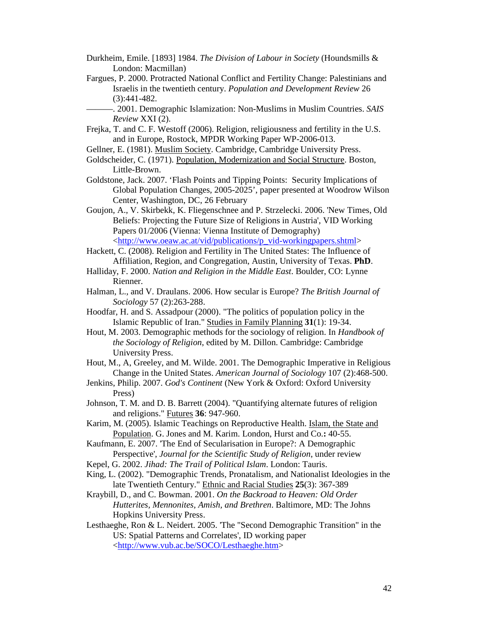- Durkheim, Emile. [1893] 1984. *The Division of Labour in Society* (Houndsmills & London: Macmillan)
- Fargues, P. 2000. Protracted National Conflict and Fertility Change: Palestinians and Israelis in the twentieth century. *Population and Development Review* 26 (3):441-482.
	- ———. 2001. Demographic Islamization: Non-Muslims in Muslim Countries. *SAIS Review* XXI (2).
- Frejka, T. and C. F. Westoff (2006). Religion, religiousness and fertility in the U.S. and in Europe, Rostock, MPDR Working Paper WP-2006-013.
- Gellner, E. (1981). Muslim Society. Cambridge, Cambridge University Press.
- Goldscheider, C. (1971). Population, Modernization and Social Structure. Boston, Little-Brown.
- Goldstone, Jack. 2007. 'Flash Points and Tipping Points: Security Implications of Global Population Changes, 2005-2025', paper presented at Woodrow Wilson Center, Washington, DC, 26 February
- Goujon, A., V. Skirbekk, K. Fliegenschnee and P. Strzelecki. 2006. 'New Times, Old Beliefs: Projecting the Future Size of Religions in Austria', VID Working Papers 01/2006 (Vienna: Vienna Institute of Demography) <http://www.oeaw.ac.at/vid/publications/p\_vid-workingpapers.shtml>

Hackett, C. (2008). Religion and Fertility in The United States: The Influence of Affiliation, Region, and Congregation, Austin, University of Texas. **PhD**.

- Halliday, F. 2000. *Nation and Religion in the Middle East*. Boulder, CO: Lynne Rienner.
- Halman, L., and V. Draulans. 2006. How secular is Europe? *The British Journal of Sociology* 57 (2):263-288.
- Hoodfar, H. and S. Assadpour (2000). "The politics of population policy in the Islamic Republic of Iran." Studies in Family Planning **31**(1): 19-34.
- Hout, M. 2003. Demographic methods for the sociology of religion. In *Handbook of the Sociology of Religion*, edited by M. Dillon. Cambridge: Cambridge University Press.
- Hout, M., A, Greeley, and M. Wilde. 2001. The Demographic Imperative in Religious Change in the United States. *American Journal of Sociology* 107 (2):468-500.
- Jenkins, Philip. 2007. *God's Continent* (New York & Oxford: Oxford University Press)
- Johnson, T. M. and D. B. Barrett (2004). "Quantifying alternate futures of religion and religions." Futures **36**: 947-960.
- Karim, M. (2005). Islamic Teachings on Reproductive Health. Islam, the State and Population. G. Jones and M. Karim. London, Hurst and Co.**:** 40-55.
- Kaufmann, E. 2007. 'The End of Secularisation in Europe?: A Demographic Perspective', *Journal for the Scientific Study of Religion*, under review
- Kepel, G. 2002. *Jihad: The Trail of Political Islam*. London: Tauris.
- King, L. (2002). "Demographic Trends, Pronatalism, and Nationalist Ideologies in the late Twentieth Century." Ethnic and Racial Studies **25**(3): 367-389
- Kraybill, D., and C. Bowman. 2001. *On the Backroad to Heaven: Old Order Hutterites, Mennonites, Amish, and Brethren*. Baltimore, MD: The Johns Hopkins University Press.
- Lesthaeghe, Ron & L. Neidert. 2005. 'The "Second Demographic Transition" in the US: Spatial Patterns and Correlates', ID working paper <http://www.vub.ac.be/SOCO/Lesthaeghe.htm>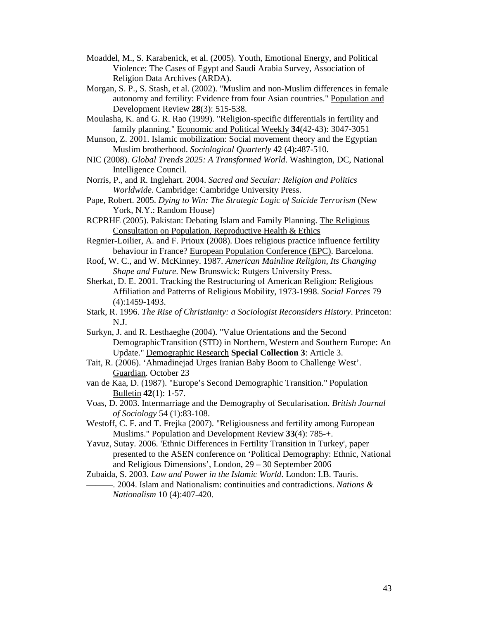- Moaddel, M., S. Karabenick, et al. (2005). Youth, Emotional Energy, and Political Violence: The Cases of Egypt and Saudi Arabia Survey, Association of Religion Data Archives (ARDA).
- Morgan, S. P., S. Stash, et al. (2002). "Muslim and non-Muslim differences in female autonomy and fertility: Evidence from four Asian countries." Population and Development Review **28**(3): 515-538.
- Moulasha, K. and G. R. Rao (1999). "Religion-specific differentials in fertility and family planning." Economic and Political Weekly **34**(42-43): 3047-3051
- Munson, Z. 2001. Islamic mobilization: Social movement theory and the Egyptian Muslim brotherhood. *Sociological Quarterly* 42 (4):487-510.
- NIC (2008). *Global Trends 2025: A Transformed World*. Washington, DC, National Intelligence Council.
- Norris, P., and R. Inglehart. 2004. *Sacred and Secular: Religion and Politics Worldwide*. Cambridge: Cambridge University Press.
- Pape, Robert. 2005. *Dying to Win: The Strategic Logic of Suicide Terrorism* (New York, N.Y.: Random House)
- RCPRHE (2005). Pakistan: Debating Islam and Family Planning. The Religious Consultation on Population, Reproductive Health & Ethics
- Regnier-Loilier, A. and F. Prioux (2008). Does religious practice influence fertility behaviour in France? European Population Conference (EPC). Barcelona.
- Roof, W. C., and W. McKinney. 1987. *American Mainline Religion, Its Changing Shape and Future*. New Brunswick: Rutgers University Press.
- Sherkat, D. E. 2001. Tracking the Restructuring of American Religion: Religious Affiliation and Patterns of Religious Mobility, 1973-1998. *Social Forces* 79 (4):1459-1493.
- Stark, R. 1996. *The Rise of Christianity: a Sociologist Reconsiders History*. Princeton: N.J.
- Surkyn, J. and R. Lesthaeghe (2004). "Value Orientations and the Second DemographicTransition (STD) in Northern, Western and Southern Europe: An Update." Demographic Research **Special Collection 3**: Article 3.
- Tait, R. (2006). 'Ahmadinejad Urges Iranian Baby Boom to Challenge West'. Guardian. October 23
- van de Kaa, D. (1987). "Europe's Second Demographic Transition." Population Bulletin **42**(1): 1-57.
- Voas, D. 2003. Intermarriage and the Demography of Secularisation. *British Journal of Sociology* 54 (1):83-108.
- Westoff, C. F. and T. Frejka (2007). "Religiousness and fertility among European Muslims." Population and Development Review **33**(4): 785-+.
- Yavuz, Sutay. 2006. 'Ethnic Differences in Fertility Transition in Turkey', paper presented to the ASEN conference on 'Political Demography: Ethnic, National and Religious Dimensions', London, 29 – 30 September 2006

Zubaida, S. 2003. *Law and Power in the Islamic World*. London: I.B. Tauris. ———. 2004. Islam and Nationalism: continuities and contradictions. *Nations & Nationalism* 10 (4):407-420.